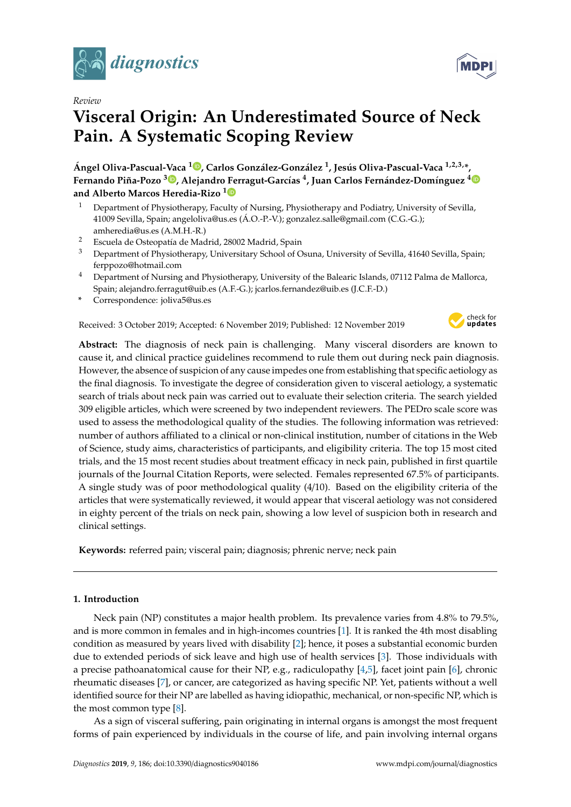

*Review*

# **Visceral Origin: An Underestimated Source of Neck Pain. A Systematic Scoping Review**

**Ángel Oliva-Pascual-Vaca <sup>1</sup> [,](https://orcid.org/0000-0001-8740-1226) Carlos González-González <sup>1</sup> , Jesús Oliva-Pascual-Vaca 1,2,3,\*, Fernando Piña-Pozo <sup>3</sup> [,](https://orcid.org/0000-0001-8836-341X) Alejandro Ferragut-Garcías <sup>4</sup> , Juan Carlos Fernández-Domínguez [4](https://orcid.org/0000-0001-7771-6814) and Alberto Marcos Heredia-Rizo [1](https://orcid.org/0000-0003-2847-2846)**

- <sup>1</sup> Department of Physiotherapy, Faculty of Nursing, Physiotherapy and Podiatry, University of Sevilla, 41009 Sevilla, Spain; angeloliva@us.es (Á.O.-P.-V.); gonzalez.salle@gmail.com (C.G.-G.); amheredia@us.es (A.M.H.-R.)
- <sup>2</sup> Escuela de Osteopatía de Madrid, 28002 Madrid, Spain
- <sup>3</sup> Department of Physiotherapy, Universitary School of Osuna, University of Sevilla, 41640 Sevilla, Spain; ferppozo@hotmail.com
- <sup>4</sup> Department of Nursing and Physiotherapy, University of the Balearic Islands, 07112 Palma de Mallorca, Spain; alejandro.ferragut@uib.es (A.F.-G.); jcarlos.fernandez@uib.es (J.C.F.-D.)
- **\*** Correspondence: joliva5@us.es

Received: 3 October 2019; Accepted: 6 November 2019; Published: 12 November 2019



**Abstract:** The diagnosis of neck pain is challenging. Many visceral disorders are known to cause it, and clinical practice guidelines recommend to rule them out during neck pain diagnosis. However, the absence of suspicion of any cause impedes one from establishing that specific aetiology as the final diagnosis. To investigate the degree of consideration given to visceral aetiology, a systematic search of trials about neck pain was carried out to evaluate their selection criteria. The search yielded 309 eligible articles, which were screened by two independent reviewers. The PEDro scale score was used to assess the methodological quality of the studies. The following information was retrieved: number of authors affiliated to a clinical or non-clinical institution, number of citations in the Web of Science, study aims, characteristics of participants, and eligibility criteria. The top 15 most cited trials, and the 15 most recent studies about treatment efficacy in neck pain, published in first quartile journals of the Journal Citation Reports, were selected. Females represented 67.5% of participants. A single study was of poor methodological quality (4/10). Based on the eligibility criteria of the articles that were systematically reviewed, it would appear that visceral aetiology was not considered in eighty percent of the trials on neck pain, showing a low level of suspicion both in research and clinical settings.

**Keywords:** referred pain; visceral pain; diagnosis; phrenic nerve; neck pain

# **1. Introduction**

Neck pain (NP) constitutes a major health problem. Its prevalence varies from 4.8% to 79.5%, and is more common in females and in high-incomes countries [\[1\]](#page-16-0). It is ranked the 4th most disabling condition as measured by years lived with disability [\[2\]](#page-16-1); hence, it poses a substantial economic burden due to extended periods of sick leave and high use of health services [\[3\]](#page-16-2). Those individuals with a precise pathoanatomical cause for their NP, e.g., radiculopathy [\[4](#page-16-3)[,5\]](#page-16-4), facet joint pain [\[6\]](#page-16-5), chronic rheumatic diseases [\[7\]](#page-16-6), or cancer, are categorized as having specific NP. Yet, patients without a well identified source for their NP are labelled as having idiopathic, mechanical, or non-specific NP, which is the most common type [\[8\]](#page-16-7).

As a sign of visceral suffering, pain originating in internal organs is amongst the most frequent forms of pain experienced by individuals in the course of life, and pain involving internal organs

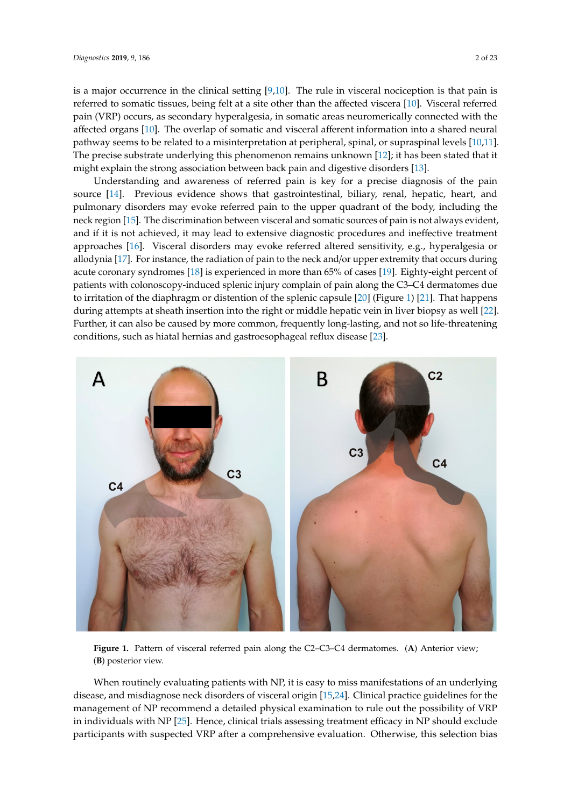is a major occurrence in the clinical setting [\[9](#page-16-8)[,10\]](#page-16-9). The rule in visceral nociception is that pain is referred to somatic tissues, being felt at a site other than the affected viscera [\[10\]](#page-16-9). Visceral referred pain (VRP) occurs, as secondary hyperalgesia, in somatic areas neuromerically connected with the affected organs [10]. The overlap of somatic and visceral afferent information into a shared neural p[ath](#page-16-9)[way](#page-16-10) seems to be related to a misinterpretation at peripheral, spinal, or supraspinal levels [10,11]. The precise substrate underlying this phenomenon remains unknown [12]; it has been stated that it might explain the strong association between back pain and digestive disorders [13].

Understanding and awareness of referred pain is key for a precise diagnosis of the pain source [14]. Previous evidence shows that gastrointestinal, biliary, renal, hepatic, heart, and pulmonary disorders may evoke referred pain to the upper quadrant of the body, including the neck region [15]. The discrimination between visceral and somatic sources of pain is not always evident, and if it is not achieved, it may lead to extensive diagnostic procedures and ineffective treatment approaches [16]. Visceral disorders [may](#page-17-3) evoke referred altered sensitivity, e.g., hyperalgesia or allodynia [17]. For instance, the radiation of pain to the neck and/or upper extremity that occurs during acute coronary syndromes [18] is experienced in more than 65% of cases [19]. Eighty-eight percent of patients with colonoscopy-induced splenic injury complain of pain along the C3-C4 dermatomes due to irritation of the diaphragm or distention of the splenic capsule [20] (Figure [1\)](#page-1-0) [21]. That happens during attempts at sheath insertion into the right or middle hepatic vein in liver biopsy as well [\[22\]](#page-17-9). Further, it can also be caused by more common, frequently long-lasting, and not so life-threatening conditions, such as hiatal hernias and gastroesophageal reflux disease [23].

<span id="page-1-0"></span>

Figure 1. Pattern of visceral referred pain along the C2-C3-C4 dermatomes. (A) Anterior view; posterior view. (**B**) posterior view.

When routinely evaluating patients with NP, it is easy to miss manifestations of an underlying When routinely evaluating patients with NP, it is easy to miss manifestations of an underlying disease, and misdiagnose neck disorders of visceral origin [15,24]. Clinical practice guidelines for the disease, and misdiagnose neck disorders of visceral origin [\[15,](#page-17-2)[24\]](#page-17-11). Clinical practice guidelines for the management of NP recommend a detailed physical examination to rule out the possibility of VRP in individuals with NP [\[25\]](#page-17-12). Hence, clinical trials assessing treatment efficacy in NP should exclude participants with suspected VRP after a comprehensive evaluation. Otherwise, this selection bias participants with suspected VRP after a comprehensive evaluation. Otherwise, this selection bias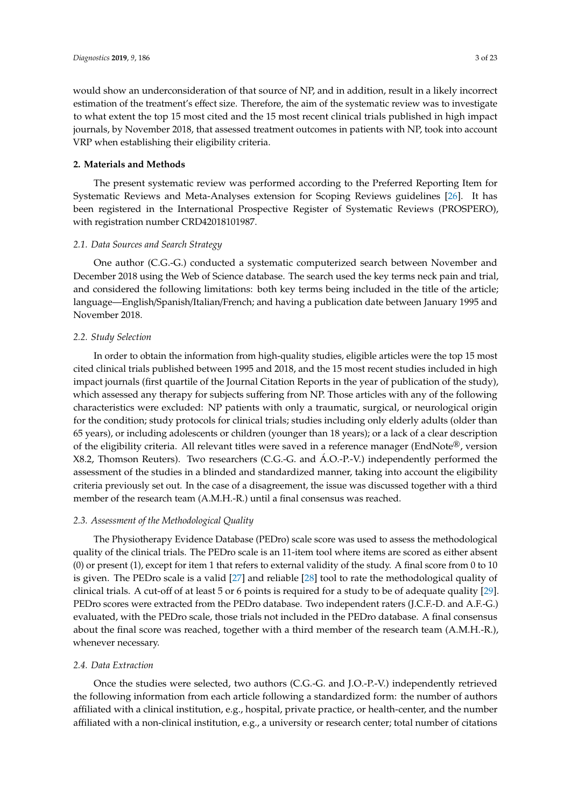would show an underconsideration of that source of NP, and in addition, result in a likely incorrect estimation of the treatment's effect size. Therefore, the aim of the systematic review was to investigate to what extent the top 15 most cited and the 15 most recent clinical trials published in high impact journals, by November 2018, that assessed treatment outcomes in patients with NP, took into account VRP when establishing their eligibility criteria.

#### **2. Materials and Methods**

The present systematic review was performed according to the Preferred Reporting Item for Systematic Reviews and Meta-Analyses extension for Scoping Reviews guidelines [\[26\]](#page-17-13). It has been registered in the International Prospective Register of Systematic Reviews (PROSPERO), with registration number CRD42018101987.

#### *2.1. Data Sources and Search Strategy*

One author (C.G.-G.) conducted a systematic computerized search between November and December 2018 using the Web of Science database. The search used the key terms neck pain and trial, and considered the following limitations: both key terms being included in the title of the article; language—English/Spanish/Italian/French; and having a publication date between January 1995 and November 2018.

## *2.2. Study Selection*

In order to obtain the information from high-quality studies, eligible articles were the top 15 most cited clinical trials published between 1995 and 2018, and the 15 most recent studies included in high impact journals (first quartile of the Journal Citation Reports in the year of publication of the study), which assessed any therapy for subjects suffering from NP. Those articles with any of the following characteristics were excluded: NP patients with only a traumatic, surgical, or neurological origin for the condition; study protocols for clinical trials; studies including only elderly adults (older than 65 years), or including adolescents or children (younger than 18 years); or a lack of a clear description of the eligibility criteria. All relevant titles were saved in a reference manager (EndNote®, version X8.2, Thomson Reuters). Two researchers (C.G.-G. and Á.O.-P.-V.) independently performed the assessment of the studies in a blinded and standardized manner, taking into account the eligibility criteria previously set out. In the case of a disagreement, the issue was discussed together with a third member of the research team (A.M.H.-R.) until a final consensus was reached.

#### *2.3. Assessment of the Methodological Quality*

The Physiotherapy Evidence Database (PEDro) scale score was used to assess the methodological quality of the clinical trials. The PEDro scale is an 11-item tool where items are scored as either absent (0) or present (1), except for item 1 that refers to external validity of the study. A final score from 0 to 10 is given. The PEDro scale is a valid [\[27\]](#page-17-14) and reliable [\[28\]](#page-17-15) tool to rate the methodological quality of clinical trials. A cut-off of at least 5 or 6 points is required for a study to be of adequate quality [\[29\]](#page-17-16). PEDro scores were extracted from the PEDro database. Two independent raters (J.C.F.-D. and A.F.-G.) evaluated, with the PEDro scale, those trials not included in the PEDro database. A final consensus about the final score was reached, together with a third member of the research team (A.M.H.-R.), whenever necessary.

#### *2.4. Data Extraction*

Once the studies were selected, two authors (C.G.-G. and J.O.-P.-V.) independently retrieved the following information from each article following a standardized form: the number of authors affiliated with a clinical institution, e.g., hospital, private practice, or health-center, and the number affiliated with a non-clinical institution, e.g., a university or research center; total number of citations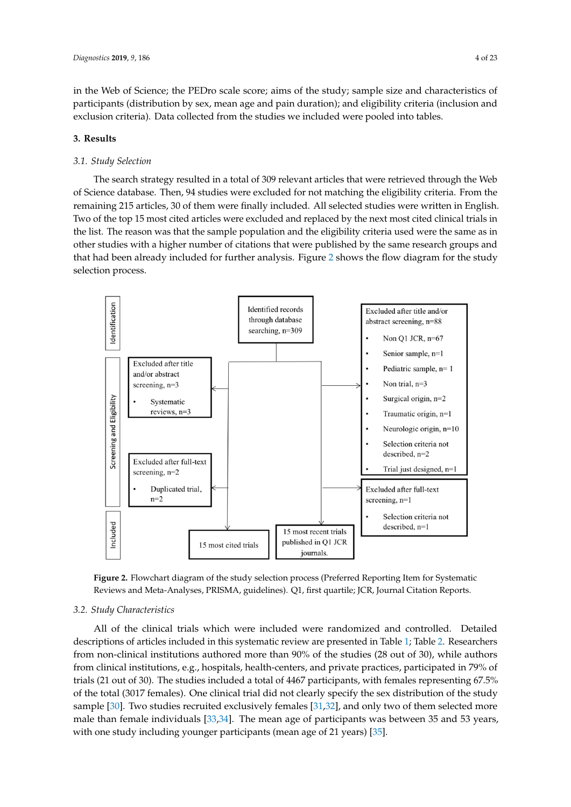in the Web of Science; the PEDro scale score; aims of the study; sample size and characteristics of participants (distribution by sex, mean age and pain duration); and eligibility criteria (inclusion and exclusion criteria). Data collected from the studies we included were pooled into tables.

#### **3. Results**

#### *3.1. Study Selection*

The search strategy resulted in a total of 309 relevant articles that were retrieved through the Web of Science database. Then, 94 studies were excluded for not matching the eligibility criteria. From the remaining 215 articles, 30 of them were finally included. All selected studies were written in English. Two of the top 15 most cited articles were excluded and replaced by the next most cited clinical trials in the list. The reason was that the sample population and the eligibility criteria used were the same as in other studies with a higher number of citations that were published by the same research groups and that had been already included for further analysis. Figure 2 shows the flow diagram for the study selection process. *3.1. Study Selection* 

<span id="page-3-0"></span>

**Figure 2.** Flowchart diagram of the study selection process (Preferred Reporting Item for Systematic **Figure 2.** Flowchart diagram of the study selection process (Preferred Reporting Item for Systematic Reviews and Meta-Analyses, PRISMA, guidelines). Q1, first quartile; JCR, Journal Citation Reports. Reviews and Meta-Analyses, PRISMA, guidelines). Q1, first quartile; JCR, Journal Citation Reports.

# *3.2. Study Characteristics 3.2. Study Characteristics*

descriptions of articles included in this systematic review are presented in Table [1;](#page-8-0) Table [2.](#page-12-0) Researchers from non-clinical institutions authored more than 90% of the studies (28 out of 30), while authors From their emitted institutions databased more than 90% of the studies (28 out of 30), while database<br>from clinical institutions, e.g., hospitals, health-centers, and private practices, participated in 79% of trials (21 out of 30). The studies included a total of 4467 participants, with females representing 67.5% of the total (3017 females). One clinical trial did not clearly specify the sex distribution of the study of the study sample [\[30\]](#page-17-17). Two studies recruited exclusively females [\[31](#page-17-18)[,32\]](#page-17-19), and only two of them selected more early to go, the studies recruited exclusively remained  $[3,3,2]$ , and only two of them selected from male than female individuals [\[33](#page-17-20)[,34\]](#page-18-0). The mean age of participants was between 35 and 53 years, more manipulation female individuals  $\frac{33}{35}$ . The mean age of participants was between 35 and 53  $\frac{35}{10}$ . with one study including younger participants (mean age of 21 years) [\[35\]](#page-18-1). All of the clinical trials which were included were randomized and controlled. Detailed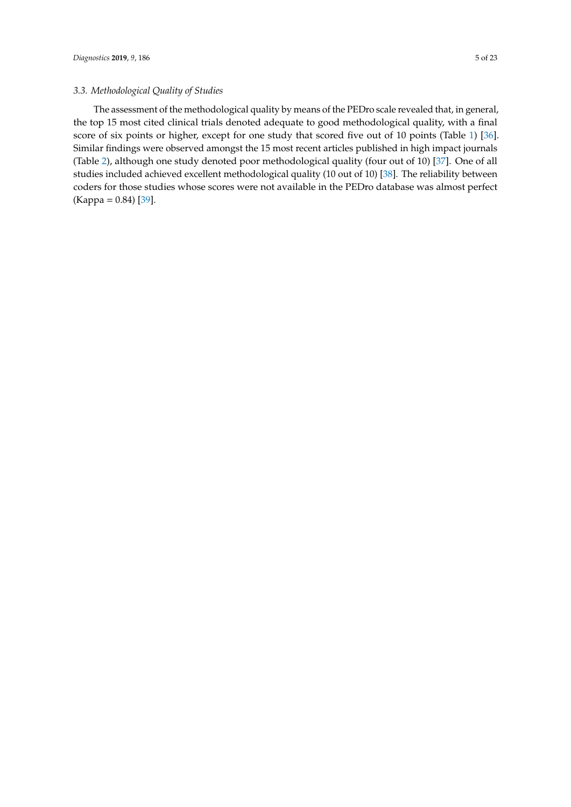#### *3.3. Methodological Quality of Studies*

The assessment of the methodological quality by means of the PEDro scale revealed that, in general, the top 15 most cited clinical trials denoted adequate to good methodological quality, with a final score of six points or higher, except for one study that scored five out of 10 points (Table [1\)](#page-8-0) [\[36\]](#page-18-2). Similar findings were observed amongst the 15 most recent articles published in high impact journals (Table [2\)](#page-12-0), although one study denoted poor methodological quality (four out of 10) [\[37\]](#page-18-3). One of all studies included achieved excellent methodological quality (10 out of 10) [\[38\]](#page-18-4). The reliability between coders for those studies whose scores were not available in the PEDro database was almost perfect (Kappa = 0.84) [\[39\]](#page-18-5).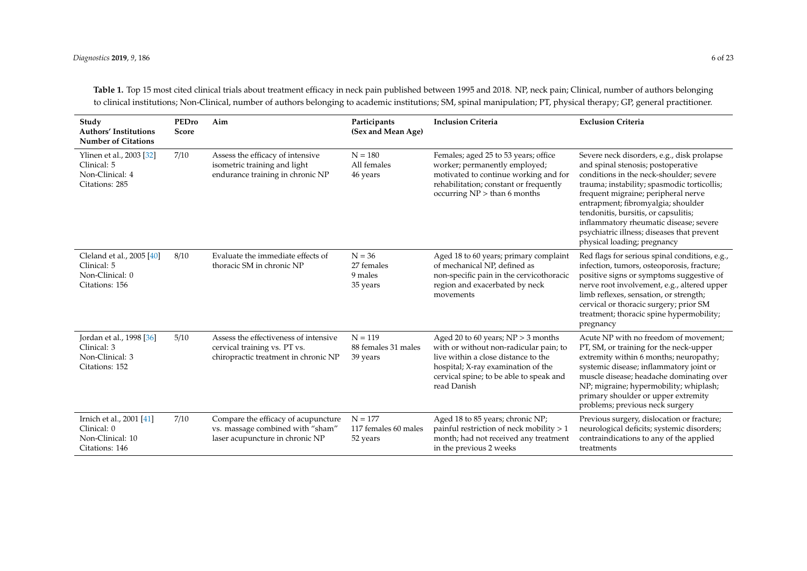| Study<br><b>Authors' Institutions</b><br><b>Number of Citations</b>           | PEDro<br><b>Score</b> | Aim                                                                                                           | Participants<br>(Sex and Mean Age)            | <b>Inclusion Criteria</b>                                                                                                                                                                                             | <b>Exclusion Criteria</b>                                                                                                                                                                                                                                                                                                                                                                                              |
|-------------------------------------------------------------------------------|-----------------------|---------------------------------------------------------------------------------------------------------------|-----------------------------------------------|-----------------------------------------------------------------------------------------------------------------------------------------------------------------------------------------------------------------------|------------------------------------------------------------------------------------------------------------------------------------------------------------------------------------------------------------------------------------------------------------------------------------------------------------------------------------------------------------------------------------------------------------------------|
| Ylinen et al., 2003 [32]<br>Clinical: 5<br>Non-Clinical: 4<br>Citations: 285  | 7/10                  | Assess the efficacy of intensive<br>isometric training and light<br>endurance training in chronic NP          | $N = 180$<br>All females<br>46 years          | Females; aged 25 to 53 years; office<br>worker; permanently employed;<br>motivated to continue working and for<br>rehabilitation; constant or frequently<br>occurring $NP$ > than 6 months                            | Severe neck disorders, e.g., disk prolapse<br>and spinal stenosis; postoperative<br>conditions in the neck-shoulder; severe<br>trauma; instability; spasmodic torticollis;<br>frequent migraine; peripheral nerve<br>entrapment; fibromyalgia; shoulder<br>tendonitis, bursitis, or capsulitis;<br>inflammatory rheumatic disease; severe<br>psychiatric illness; diseases that prevent<br>physical loading; pregnancy |
| Cleland et al., 2005 [40]<br>Clinical: 5<br>Non-Clinical: 0<br>Citations: 156 | 8/10                  | Evaluate the immediate effects of<br>thoracic SM in chronic NP                                                | $N = 36$<br>27 females<br>9 males<br>35 years | Aged 18 to 60 years; primary complaint<br>of mechanical NP, defined as<br>non-specific pain in the cervicothoracic<br>region and exacerbated by neck<br>movements                                                     | Red flags for serious spinal conditions, e.g.,<br>infection, tumors, osteoporosis, fracture;<br>positive signs or symptoms suggestive of<br>nerve root involvement, e.g., altered upper<br>limb reflexes, sensation, or strength;<br>cervical or thoracic surgery; prior SM<br>treatment; thoracic spine hypermobility;<br>pregnancy                                                                                   |
| Jordan et al., 1998 [36]<br>Clinical: 3<br>Non-Clinical: 3<br>Citations: 152  | 5/10                  | Assess the effectiveness of intensive<br>cervical training vs. PT vs.<br>chiropractic treatment in chronic NP | $N = 119$<br>88 females 31 males<br>39 years  | Aged 20 to 60 years; $NP > 3$ months<br>with or without non-radicular pain; to<br>live within a close distance to the<br>hospital; X-ray examination of the<br>cervical spine; to be able to speak and<br>read Danish | Acute NP with no freedom of movement:<br>PT, SM, or training for the neck-upper<br>extremity within 6 months; neuropathy;<br>systemic disease; inflammatory joint or<br>muscle disease; headache dominating over<br>NP; migraine; hypermobility; whiplash;<br>primary shoulder or upper extremity<br>problems; previous neck surgery                                                                                   |
| Irnich et al., 2001 [41]<br>Clinical: 0<br>Non-Clinical: 10<br>Citations: 146 | 7/10                  | Compare the efficacy of acupuncture<br>vs. massage combined with "sham"<br>laser acupuncture in chronic NP    | $N = 177$<br>117 females 60 males<br>52 years | Aged 18 to 85 years; chronic NP;<br>painful restriction of neck mobility $> 1$<br>month; had not received any treatment<br>in the previous 2 weeks                                                                    | Previous surgery, dislocation or fracture;<br>neurological deficits; systemic disorders;<br>contraindications to any of the applied<br>treatments                                                                                                                                                                                                                                                                      |

**Table 1.** Top 15 most cited clinical trials about treatment efficacy in neck pain published between 1995 and 2018. NP, neck pain; Clinical, number of authors belonging to clinical institutions; Non-Clinical, number of authors belonging to academic institutions; SM, spinal manipulation; PT, physical therapy; GP, general practitioner.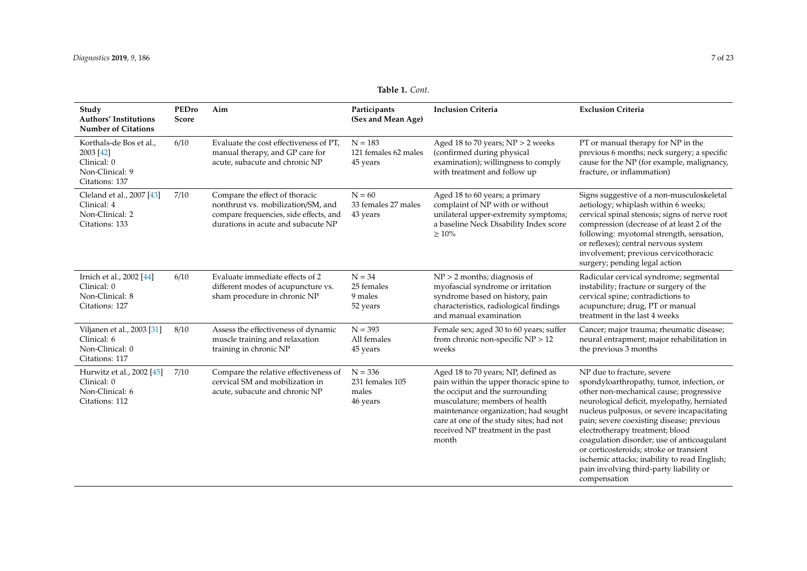| Study<br><b>Authors' Institutions</b><br><b>Number of Citations</b>                      | PEDro<br>Score | Aim                                                                                                                                                  | Participants<br>(Sex and Mean Age)                | <b>Inclusion Criteria</b>                                                                                                                                                                                                                                                            | <b>Exclusion Criteria</b>                                                                                                                                                                                                                                                                                                                                                                                                                                                                           |
|------------------------------------------------------------------------------------------|----------------|------------------------------------------------------------------------------------------------------------------------------------------------------|---------------------------------------------------|--------------------------------------------------------------------------------------------------------------------------------------------------------------------------------------------------------------------------------------------------------------------------------------|-----------------------------------------------------------------------------------------------------------------------------------------------------------------------------------------------------------------------------------------------------------------------------------------------------------------------------------------------------------------------------------------------------------------------------------------------------------------------------------------------------|
| Korthals-de Bos et al.,<br>2003 [42]<br>Clinical: 0<br>Non-Clinical: 9<br>Citations: 137 | 6/10           | Evaluate the cost effectiveness of PT.<br>manual therapy, and GP care for<br>acute, subacute and chronic NP                                          | $N = 183$<br>121 females 62 males<br>45 years     | Aged 18 to 70 years; NP > 2 weeks<br>(confirmed during physical<br>examination); willingness to comply<br>with treatment and follow up                                                                                                                                               | PT or manual therapy for NP in the<br>previous 6 months; neck surgery; a specific<br>cause for the NP (for example, malignancy,<br>fracture, or inflammation)                                                                                                                                                                                                                                                                                                                                       |
| Cleland et al., 2007 [43]<br>Clinical: 4<br>Non-Clinical: 2<br>Citations: 133            | 7/10           | Compare the effect of thoracic<br>nonthrust vs. mobilization/SM, and<br>compare frequencies, side effects, and<br>durations in acute and subacute NP | $N = 60$<br>33 females 27 males<br>43 years       | Aged 18 to 60 years; a primary<br>complaint of NP with or without<br>unilateral upper-extremity symptoms;<br>a baseline Neck Disability Index score<br>$\geq 10\%$                                                                                                                   | Signs suggestive of a non-musculoskeletal<br>aetiology; whiplash within 6 weeks;<br>cervical spinal stenosis; signs of nerve root<br>compression (decrease of at least 2 of the<br>following: myotomal strength, sensation,<br>or reflexes); central nervous system<br>involvement; previous cervicothoracic<br>surgery; pending legal action                                                                                                                                                       |
| Irnich et al., 2002 [44]<br>Clinical: 0<br>Non-Clinical: 8<br>Citations: 127             | 6/10           | Evaluate immediate effects of 2<br>different modes of acupuncture vs.<br>sham procedure in chronic NP                                                | $N = 34$<br>25 females<br>9 males<br>52 years     | $NP > 2$ months; diagnosis of<br>myofascial syndrome or irritation<br>syndrome based on history, pain<br>characteristics, radiological findings<br>and manual examination                                                                                                            | Radicular cervical syndrome; segmental<br>instability; fracture or surgery of the<br>cervical spine; contradictions to<br>acupuncture; drug, PT or manual<br>treatment in the last 4 weeks                                                                                                                                                                                                                                                                                                          |
| Viljanen et al., 2003 [31]<br>Clinical: 6<br>Non-Clinical: 0<br>Citations: 117           | 8/10           | Assess the effectiveness of dynamic<br>muscle training and relaxation<br>training in chronic NP                                                      | $N = 393$<br>All females<br>45 years              | Female sex; aged 30 to 60 years; suffer<br>from chronic non-specific $NP > 12$<br>weeks                                                                                                                                                                                              | Cancer; major trauma; rheumatic disease;<br>neural entrapment; major rehabilitation in<br>the previous 3 months                                                                                                                                                                                                                                                                                                                                                                                     |
| Hurwitz et al., 2002 [45]<br>Clinical: 0<br>Non-Clinical: 6<br>Citations: 112            | 7/10           | Compare the relative effectiveness of<br>cervical SM and mobilization in<br>acute, subacute and chronic NP                                           | $N = 336$<br>231 females 105<br>males<br>46 years | Aged 18 to 70 years; NP, defined as<br>pain within the upper thoracic spine to<br>the occiput and the surrounding<br>musculature; members of health<br>maintenance organization; had sought<br>care at one of the study sites; had not<br>received NP treatment in the past<br>month | NP due to fracture, severe<br>spondyloarthropathy, tumor, infection, or<br>other non-mechanical cause; progressive<br>neurological deficit, myelopathy, herniated<br>nucleus pulposus, or severe incapacitating<br>pain; severe coexisting disease; previous<br>electrotherapy treatment; blood<br>coagulation disorder; use of anticoagulant<br>or corticosteroids; stroke or transient<br>ischemic attacks; inability to read English;<br>pain involving third-party liability or<br>compensation |

**Table 1.** *Cont.*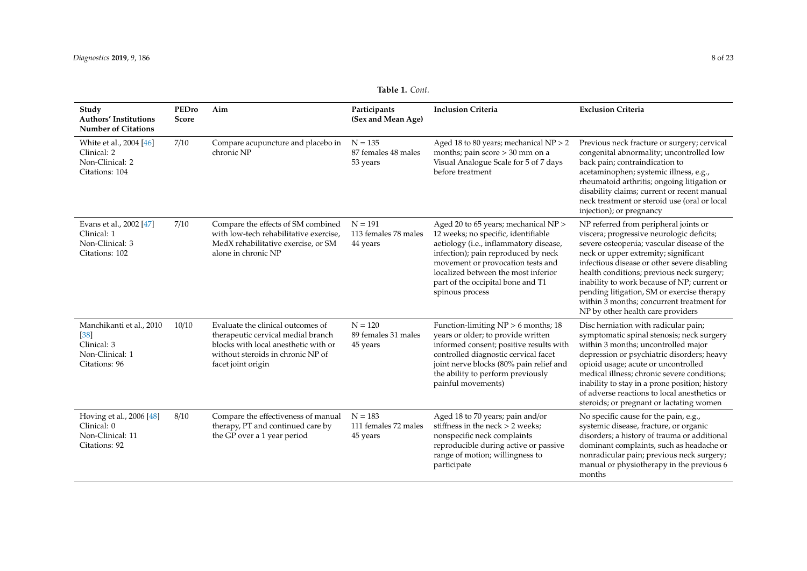| Study<br>Authors' Institutions<br><b>Number of Citations</b>                          | PEDro<br>Score | Aim                                                                                                                                                                        | Participants<br>(Sex and Mean Age)            | <b>Inclusion Criteria</b>                                                                                                                                                                                                                                                                        | <b>Exclusion Criteria</b>                                                                                                                                                                                                                                                                                                                                                                                                                            |
|---------------------------------------------------------------------------------------|----------------|----------------------------------------------------------------------------------------------------------------------------------------------------------------------------|-----------------------------------------------|--------------------------------------------------------------------------------------------------------------------------------------------------------------------------------------------------------------------------------------------------------------------------------------------------|------------------------------------------------------------------------------------------------------------------------------------------------------------------------------------------------------------------------------------------------------------------------------------------------------------------------------------------------------------------------------------------------------------------------------------------------------|
| White et al., 2004 [46]<br>Clinical: 2<br>Non-Clinical: 2<br>Citations: 104           | 7/10           | Compare acupuncture and placebo in<br>chronic NP                                                                                                                           | $N = 135$<br>87 females 48 males<br>53 years  | Aged 18 to 80 years; mechanical $NP > 2$<br>months; pain score > 30 mm on a<br>Visual Analogue Scale for 5 of 7 days<br>before treatment                                                                                                                                                         | Previous neck fracture or surgery; cervical<br>congenital abnormality; uncontrolled low<br>back pain; contraindication to<br>acetaminophen; systemic illness, e.g.,<br>rheumatoid arthritis; ongoing litigation or<br>disability claims; current or recent manual<br>neck treatment or steroid use (oral or local<br>injection); or pregnancy                                                                                                        |
| Evans et al., 2002 [47]<br>Clinical: 1<br>Non-Clinical: 3<br>Citations: 102           | 7/10           | Compare the effects of SM combined<br>with low-tech rehabilitative exercise,<br>MedX rehabilitative exercise, or SM<br>alone in chronic NP                                 | $N = 191$<br>113 females 78 males<br>44 years | Aged 20 to 65 years; mechanical NP ><br>12 weeks; no specific, identifiable<br>aetiology (i.e., inflammatory disease,<br>infection); pain reproduced by neck<br>movement or provocation tests and<br>localized between the most inferior<br>part of the occipital bone and T1<br>spinous process | NP referred from peripheral joints or<br>viscera; progressive neurologic deficits;<br>severe osteopenia; vascular disease of the<br>neck or upper extremity; significant<br>infectious disease or other severe disabling<br>health conditions; previous neck surgery;<br>inability to work because of NP; current or<br>pending litigation, SM or exercise therapy<br>within 3 months; concurrent treatment for<br>NP by other health care providers |
| Manchikanti et al., 2010<br>$[38]$<br>Clinical: 3<br>Non-Clinical: 1<br>Citations: 96 | 10/10          | Evaluate the clinical outcomes of<br>therapeutic cervical medial branch<br>blocks with local anesthetic with or<br>without steroids in chronic NP of<br>facet joint origin | $N = 120$<br>89 females 31 males<br>45 years  | Function-limiting $NP > 6$ months; 18<br>years or older; to provide written<br>informed consent; positive results with<br>controlled diagnostic cervical facet<br>joint nerve blocks (80% pain relief and<br>the ability to perform previously<br>painful movements)                             | Disc herniation with radicular pain;<br>symptomatic spinal stenosis; neck surgery<br>within 3 months; uncontrolled major<br>depression or psychiatric disorders; heavy<br>opioid usage; acute or uncontrolled<br>medical illness; chronic severe conditions;<br>inability to stay in a prone position; history<br>of adverse reactions to local anesthetics or<br>steroids; or pregnant or lactating women                                           |
| Hoving et al., 2006 [48]<br>Clinical: 0<br>Non-Clinical: 11<br>Citations: 92          | 8/10           | Compare the effectiveness of manual<br>therapy, PT and continued care by<br>the GP over a 1 year period                                                                    | $N = 183$<br>111 females 72 males<br>45 years | Aged 18 to 70 years; pain and/or<br>stiffness in the neck > 2 weeks;<br>nonspecific neck complaints<br>reproducible during active or passive<br>range of motion; willingness to<br>participate                                                                                                   | No specific cause for the pain, e.g.,<br>systemic disease, fracture, or organic<br>disorders; a history of trauma or additional<br>dominant complaints, such as headache or<br>nonradicular pain; previous neck surgery;<br>manual or physiotherapy in the previous 6<br>months                                                                                                                                                                      |

**Table 1.** *Cont.*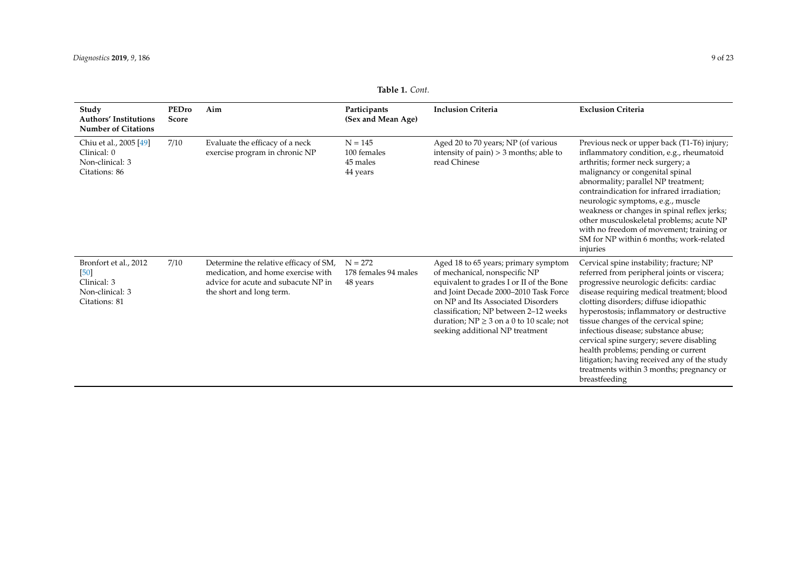<span id="page-8-0"></span>

| Study<br>Authors' Institutions<br><b>Number of Citations</b>                     | PEDro<br>Score | Aim                                                                                                                                             | Participants<br>(Sex and Mean Age)               | <b>Inclusion Criteria</b>                                                                                                                                                                                                                                                                                                    | <b>Exclusion Criteria</b>                                                                                                                                                                                                                                                                                                                                                                                                                                                               |
|----------------------------------------------------------------------------------|----------------|-------------------------------------------------------------------------------------------------------------------------------------------------|--------------------------------------------------|------------------------------------------------------------------------------------------------------------------------------------------------------------------------------------------------------------------------------------------------------------------------------------------------------------------------------|-----------------------------------------------------------------------------------------------------------------------------------------------------------------------------------------------------------------------------------------------------------------------------------------------------------------------------------------------------------------------------------------------------------------------------------------------------------------------------------------|
| Chiu et al., 2005 [49]<br>Clinical: 0<br>Non-clinical: 3<br>Citations: 86        | 7/10           | Evaluate the efficacy of a neck<br>exercise program in chronic NP                                                                               | $N = 145$<br>100 females<br>45 males<br>44 years | Aged 20 to 70 years; NP (of various<br>intensity of pain) $> 3$ months; able to<br>read Chinese                                                                                                                                                                                                                              | Previous neck or upper back (T1-T6) injury;<br>inflammatory condition, e.g., rheumatoid<br>arthritis; former neck surgery; a<br>malignancy or congenital spinal<br>abnormality; parallel NP treatment;<br>contraindication for infrared irradiation;<br>neurologic symptoms, e.g., muscle<br>weakness or changes in spinal reflex jerks;<br>other musculoskeletal problems; acute NP<br>with no freedom of movement; training or<br>SM for NP within 6 months; work-related<br>injuries |
| Bronfort et al., 2012<br>[50]<br>Clinical: 3<br>Non-clinical: 3<br>Citations: 81 | 7/10           | Determine the relative efficacy of SM,<br>medication, and home exercise with<br>advice for acute and subacute NP in<br>the short and long term. | $N = 272$<br>178 females 94 males<br>48 years    | Aged 18 to 65 years; primary symptom<br>of mechanical, nonspecific NP<br>equivalent to grades I or II of the Bone<br>and Joint Decade 2000-2010 Task Force<br>on NP and Its Associated Disorders<br>classification; NP between 2-12 weeks<br>duration; $NP \ge 3$ on a 0 to 10 scale; not<br>seeking additional NP treatment | Cervical spine instability; fracture; NP<br>referred from peripheral joints or viscera;<br>progressive neurologic deficits: cardiac<br>disease requiring medical treatment; blood<br>clotting disorders; diffuse idiopathic<br>hyperostosis; inflammatory or destructive<br>tissue changes of the cervical spine;<br>infectious disease; substance abuse;<br>cervical spine surgery; severe disabling<br>health problems; pending or current                                            |

**Table 1.** *Cont.*

litigation; having received any of the study treatments within 3 months; pregnancy or

breastfeeding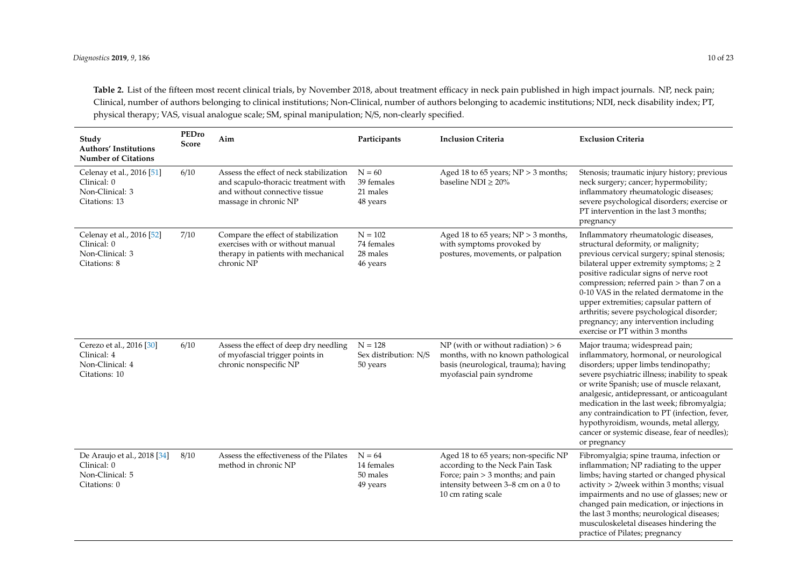**Table 2.** List of the fifteen most recent clinical trials, by November 2018, about treatment efficacy in neck pain published in high impact journals. NP, neck pain; Clinical, number of authors belonging to clinical institutions; Non-Clinical, number of authors belonging to academic institutions; NDI, neck disability index; PT, physical therapy; VAS, visual analogue scale; SM, spinal manipulation; N/S, non-clearly specified.

| Study<br><b>Authors' Institutions</b><br><b>Number of Citations</b>           | PEDro<br>Score | Aim                                                                                                                                      | Participants                                    | <b>Inclusion Criteria</b>                                                                                                                                               | <b>Exclusion Criteria</b>                                                                                                                                                                                                                                                                                                                                                                                                                                                      |
|-------------------------------------------------------------------------------|----------------|------------------------------------------------------------------------------------------------------------------------------------------|-------------------------------------------------|-------------------------------------------------------------------------------------------------------------------------------------------------------------------------|--------------------------------------------------------------------------------------------------------------------------------------------------------------------------------------------------------------------------------------------------------------------------------------------------------------------------------------------------------------------------------------------------------------------------------------------------------------------------------|
| Celenay et al., 2016 [51]<br>Clinical: 0<br>Non-Clinical: 3<br>Citations: 13  | 6/10           | Assess the effect of neck stabilization<br>and scapulo-thoracic treatment with<br>and without connective tissue<br>massage in chronic NP | $N = 60$<br>39 females<br>21 males<br>48 years  | Aged 18 to 65 years; NP > 3 months;<br>baseline NDI $\geq 20\%$                                                                                                         | Stenosis; traumatic injury history; previous<br>neck surgery; cancer; hypermobility;<br>inflammatory rheumatologic diseases;<br>severe psychological disorders; exercise or<br>PT intervention in the last 3 months;<br>pregnancy                                                                                                                                                                                                                                              |
| Celenay et al., 2016 [52]<br>Clinical: 0<br>Non-Clinical: 3<br>Citations: 8   | 7/10           | Compare the effect of stabilization<br>exercises with or without manual<br>therapy in patients with mechanical<br>chronic NP             | $N = 102$<br>74 females<br>28 males<br>46 years | Aged 18 to 65 years; $NP > 3$ months,<br>with symptoms provoked by<br>postures, movements, or palpation                                                                 | Inflammatory rheumatologic diseases,<br>structural deformity, or malignity;<br>previous cervical surgery; spinal stenosis;<br>bilateral upper extremity symptoms; $\geq 2$<br>positive radicular signs of nerve root<br>compression; referred pain > than 7 on a<br>0-10 VAS in the related dermatome in the<br>upper extremities; capsular pattern of<br>arthritis; severe psychological disorder;<br>pregnancy; any intervention including<br>exercise or PT within 3 months |
| Cerezo et al., 2016 [30]<br>Clinical: 4<br>Non-Clinical: 4<br>Citations: 10   | 6/10           | Assess the effect of deep dry needling<br>of myofascial trigger points in<br>chronic nonspecific NP                                      | $N = 128$<br>Sex distribution: N/S<br>50 years  | NP (with or without radiation) $> 6$<br>months, with no known pathological<br>basis (neurological, trauma); having<br>myofascial pain syndrome                          | Major trauma; widespread pain;<br>inflammatory, hormonal, or neurological<br>disorders; upper limbs tendinopathy;<br>severe psychiatric illness; inability to speak<br>or write Spanish; use of muscle relaxant,<br>analgesic, antidepressant, or anticoagulant<br>medication in the last week; fibromyalgia;<br>any contraindication to PT (infection, fever,<br>hypothyroidism, wounds, metal allergy,<br>cancer or systemic disease, fear of needles);<br>or pregnancy      |
| De Araujo et al., 2018 [34]<br>Clinical: 0<br>Non-Clinical: 5<br>Citations: 0 | 8/10           | Assess the effectiveness of the Pilates<br>method in chronic NP                                                                          | $N = 64$<br>14 females<br>50 males<br>49 years  | Aged 18 to 65 years; non-specific NP<br>according to the Neck Pain Task<br>Force; pain > 3 months; and pain<br>intensity between 3-8 cm on a 0 to<br>10 cm rating scale | Fibromyalgia; spine trauma, infection or<br>inflammation; NP radiating to the upper<br>limbs; having started or changed physical<br>activity $> 2$ /week within 3 months; visual<br>impairments and no use of glasses; new or<br>changed pain medication, or injections in<br>the last 3 months; neurological diseases;<br>musculoskeletal diseases hindering the<br>practice of Pilates; pregnancy                                                                            |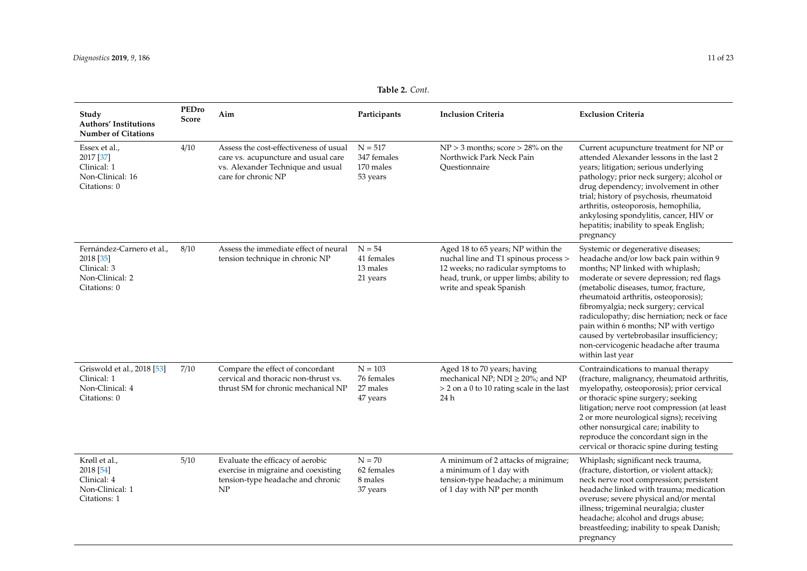pregnancy

| Study<br><b>Authors' Institutions</b><br><b>Number of Citations</b>                      | PEDro<br><b>Score</b> | Aim                                                                                                                                       | Participants                                      | <b>Inclusion Criteria</b>                                                                                                                                                              | <b>Exclusion Criteria</b>                                                                                                                                                                                                                                                                                                                                                                                                                                                                |
|------------------------------------------------------------------------------------------|-----------------------|-------------------------------------------------------------------------------------------------------------------------------------------|---------------------------------------------------|----------------------------------------------------------------------------------------------------------------------------------------------------------------------------------------|------------------------------------------------------------------------------------------------------------------------------------------------------------------------------------------------------------------------------------------------------------------------------------------------------------------------------------------------------------------------------------------------------------------------------------------------------------------------------------------|
| Essex et al.,<br>2017 [37]<br>Clinical: 1<br>Non-Clinical: 16<br>Citations: 0            | 4/10                  | Assess the cost-effectiveness of usual<br>care vs. acupuncture and usual care<br>vs. Alexander Technique and usual<br>care for chronic NP | $N = 517$<br>347 females<br>170 males<br>53 years | $NP > 3$ months; score $> 28\%$ on the<br>Northwick Park Neck Pain<br>Ouestionnaire                                                                                                    | Current acupuncture treatment for NP or<br>attended Alexander lessons in the last 2<br>years; litigation; serious underlying<br>pathology; prior neck surgery; alcohol or<br>drug dependency; involvement in other<br>trial; history of psychosis, rheumatoid<br>arthritis, osteoporosis, hemophilia,<br>ankylosing spondylitis, cancer, HIV or<br>hepatitis; inability to speak English;<br>pregnancy                                                                                   |
| Fernández-Carnero et al.,<br>2018 [35]<br>Clinical: 3<br>Non-Clinical: 2<br>Citations: 0 | 8/10                  | Assess the immediate effect of neural<br>tension technique in chronic NP                                                                  | $N = 54$<br>41 females<br>13 males<br>21 years    | Aged 18 to 65 years; NP within the<br>nuchal line and T1 spinous process ><br>12 weeks; no radicular symptoms to<br>head, trunk, or upper limbs; ability to<br>write and speak Spanish | Systemic or degenerative diseases;<br>headache and/or low back pain within 9<br>months; NP linked with whiplash;<br>moderate or severe depression; red flags<br>(metabolic diseases, tumor, fracture,<br>rheumatoid arthritis, osteoporosis);<br>fibromyalgia; neck surgery; cervical<br>radiculopathy; disc herniation; neck or face<br>pain within 6 months; NP with vertigo<br>caused by vertebrobasilar insufficiency;<br>non-cervicogenic headache after trauma<br>within last year |
| Griswold et al., 2018 [53]<br>Clinical: 1<br>Non-Clinical: 4<br>Citations: 0             | 7/10                  | Compare the effect of concordant<br>cervical and thoracic non-thrust vs.<br>thrust SM for chronic mechanical NP                           | $N = 103$<br>76 females<br>27 males<br>47 years   | Aged 18 to 70 years; having<br>mechanical NP; NDI $\geq$ 20%; and NP<br>$>$ 2 on a 0 to 10 rating scale in the last<br>24 h                                                            | Contraindications to manual therapy<br>(fracture, malignancy, rheumatoid arthritis,<br>myelopathy, osteoporosis); prior cervical<br>or thoracic spine surgery; seeking<br>litigation; nerve root compression (at least<br>2 or more neurological signs); receiving<br>other nonsurgical care; inability to<br>reproduce the concordant sign in the<br>cervical or thoracic spine during testing                                                                                          |
| Krøll et al.,<br>2018 [54]<br>Clinical: 4<br>Non-Clinical: 1<br>Citations: 1             | 5/10                  | Evaluate the efficacy of aerobic<br>exercise in migraine and coexisting<br>tension-type headache and chronic<br>NP                        | $N = 70$<br>62 females<br>8 males<br>37 years     | A minimum of 2 attacks of migraine;<br>a minimum of 1 day with<br>tension-type headache; a minimum<br>of 1 day with NP per month                                                       | Whiplash; significant neck trauma,<br>(fracture, distortion, or violent attack);<br>neck nerve root compression; persistent<br>headache linked with trauma: medication<br>overuse; severe physical and/or mental<br>illness; trigeminal neuralgia; cluster<br>headache; alcohol and drugs abuse;<br>breastfeeding; inability to speak Danish;                                                                                                                                            |

**Table 2.** *Cont.*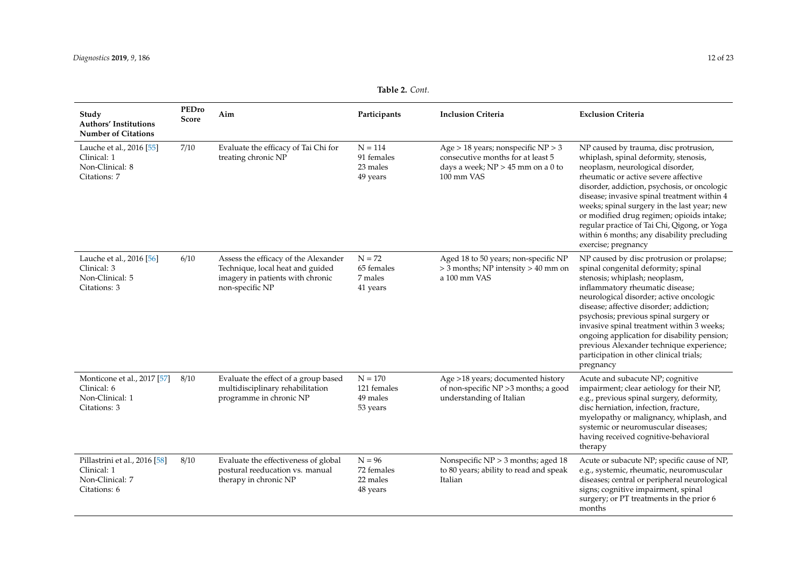| <b>Inclusion Criteria</b>                                                   | <b>Exclusion Criteria</b>                                                     |
|-----------------------------------------------------------------------------|-------------------------------------------------------------------------------|
| Age $>$ 18 years; nonspecific NP $>$ 3<br>consecutive months for at least 5 | NP caused by trauma, disc protrusion<br>whiplash, spinal deformity, stenosis, |

**Table 2.** *Cont.*

| Study<br><b>Authors' Institutions</b><br><b>Number of Citations</b>             | PEDro<br><b>Score</b> | Aim                                                                                                                             | Participants                                     | <b>Inclusion Criteria</b>                                                                                                    | <b>Exclusion Criteria</b>                                                                                                                                                                                                                                                                                                                                                                                                                                                           |
|---------------------------------------------------------------------------------|-----------------------|---------------------------------------------------------------------------------------------------------------------------------|--------------------------------------------------|------------------------------------------------------------------------------------------------------------------------------|-------------------------------------------------------------------------------------------------------------------------------------------------------------------------------------------------------------------------------------------------------------------------------------------------------------------------------------------------------------------------------------------------------------------------------------------------------------------------------------|
| Lauche et al., 2016 [55]<br>Clinical: 1<br>Non-Clinical: 8<br>Citations: 7      | 7/10                  | Evaluate the efficacy of Tai Chi for<br>treating chronic NP                                                                     | $N = 114$<br>91 females<br>23 males<br>49 years  | Age > 18 years; nonspecific NP > 3<br>consecutive months for at least 5<br>days a week; $NP > 45$ mm on a 0 to<br>100 mm VAS | NP caused by trauma, disc protrusion,<br>whiplash, spinal deformity, stenosis,<br>neoplasm, neurological disorder,<br>rheumatic or active severe affective<br>disorder, addiction, psychosis, or oncologic<br>disease; invasive spinal treatment within 4<br>weeks; spinal surgery in the last year; new<br>or modified drug regimen; opioids intake;<br>regular practice of Tai Chi, Qigong, or Yoga<br>within 6 months; any disability precluding<br>exercise; pregnancy          |
| Lauche et al., 2016 [56]<br>Clinical: 3<br>Non-Clinical: 5<br>Citations: 3      | 6/10                  | Assess the efficacy of the Alexander<br>Technique, local heat and guided<br>imagery in patients with chronic<br>non-specific NP | $N = 72$<br>65 females<br>7 males<br>41 years    | Aged 18 to 50 years; non-specific NP<br>> 3 months; NP intensity > 40 mm on<br>a 100 mm VAS                                  | NP caused by disc protrusion or prolapse;<br>spinal congenital deformity; spinal<br>stenosis; whiplash; neoplasm,<br>inflammatory rheumatic disease;<br>neurological disorder; active oncologic<br>disease; affective disorder; addiction;<br>psychosis; previous spinal surgery or<br>invasive spinal treatment within 3 weeks;<br>ongoing application for disability pension;<br>previous Alexander technique experience;<br>participation in other clinical trials;<br>pregnancy |
| Monticone et al., 2017 [57]<br>Clinical: 6<br>Non-Clinical: 1<br>Citations: 3   | 8/10                  | Evaluate the effect of a group based<br>multidisciplinary rehabilitation<br>programme in chronic NP                             | $N = 170$<br>121 females<br>49 males<br>53 years | Age >18 years; documented history<br>of non-specific NP >3 months; a good<br>understanding of Italian                        | Acute and subacute NP; cognitive<br>impairment; clear aetiology for their NP,<br>e.g., previous spinal surgery, deformity,<br>disc herniation, infection, fracture,<br>myelopathy or malignancy, whiplash, and<br>systemic or neuromuscular diseases;<br>having received cognitive-behavioral<br>therapy                                                                                                                                                                            |
| Pillastrini et al., 2016 [58]<br>Clinical: 1<br>Non-Clinical: 7<br>Citations: 6 | 8/10                  | Evaluate the effectiveness of global<br>postural reeducation vs. manual<br>therapy in chronic NP                                | $N = 96$<br>72 females<br>22 males<br>48 years   | Nonspecific NP > 3 months; aged 18<br>to 80 years; ability to read and speak<br>Italian                                      | Acute or subacute NP; specific cause of NP,<br>e.g., systemic, rheumatic, neuromuscular<br>diseases; central or peripheral neurological<br>signs; cognitive impairment, spinal<br>surgery; or PT treatments in the prior 6<br>months                                                                                                                                                                                                                                                |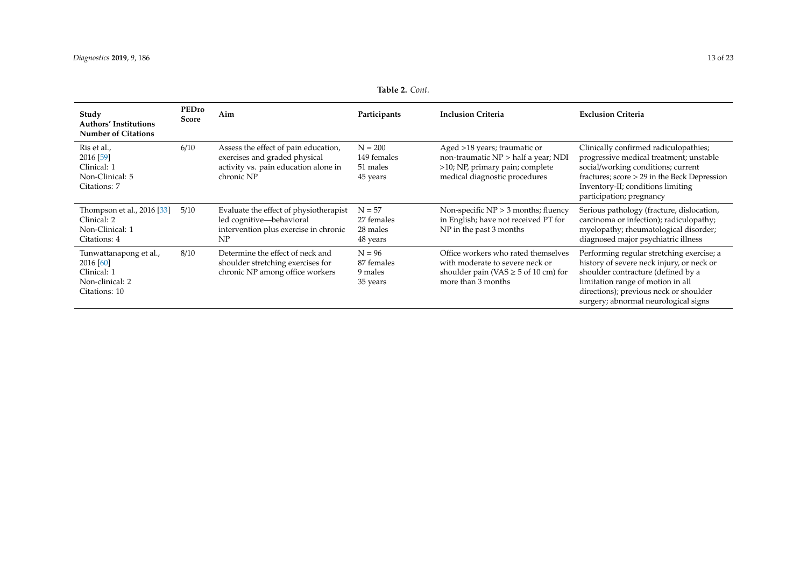<span id="page-12-0"></span>

| Study<br><b>Authors' Institutions</b><br><b>Number of Citations</b>                    | PEDro<br>Score | Aim                                                                                                                         | Participants                                     | <b>Inclusion Criteria</b>                                                                                                                 | <b>Exclusion Criteria</b>                                                                                                                                                                                                                           |
|----------------------------------------------------------------------------------------|----------------|-----------------------------------------------------------------------------------------------------------------------------|--------------------------------------------------|-------------------------------------------------------------------------------------------------------------------------------------------|-----------------------------------------------------------------------------------------------------------------------------------------------------------------------------------------------------------------------------------------------------|
| Ris et al.,<br>2016 [59]<br>Clinical: 1<br>Non-Clinical: 5<br>Citations: 7             | 6/10           | Assess the effect of pain education,<br>exercises and graded physical<br>activity vs. pain education alone in<br>chronic NP | $N = 200$<br>149 females<br>51 males<br>45 years | Aged >18 years; traumatic or<br>non-traumatic NP > half a year; NDI<br>>10; NP, primary pain; complete<br>medical diagnostic procedures   | Clinically confirmed radiculopathies;<br>progressive medical treatment; unstable<br>social/working conditions; current<br>fractures; $score > 29$ in the Beck Depression<br>Inventory-II; conditions limiting<br>participation; pregnancy           |
| Thompson et al., 2016 [33]<br>Clinical: 2<br>Non-Clinical: 1<br>Citations: 4           | 5/10           | Evaluate the effect of physiotherapist<br>led cognitive-behavioral<br>intervention plus exercise in chronic<br>NP           | $N = 57$<br>27 females<br>28 males<br>48 years   | Non-specific $NP > 3$ months; fluency<br>in English; have not received PT for<br>NP in the past 3 months                                  | Serious pathology (fracture, dislocation,<br>carcinoma or infection); radiculopathy;<br>myelopathy; rheumatological disorder;<br>diagnosed major psychiatric illness                                                                                |
| Tunwattanapong et al.,<br>2016 [60]<br>Clinical: 1<br>Non-clinical: 2<br>Citations: 10 | 8/10           | Determine the effect of neck and<br>shoulder stretching exercises for<br>chronic NP among office workers                    | $N = 96$<br>87 females<br>9 males<br>35 years    | Office workers who rated themselves<br>with moderate to severe neck or<br>shoulder pain (VAS $\geq$ 5 of 10 cm) for<br>more than 3 months | Performing regular stretching exercise; a<br>history of severe neck injury, or neck or<br>shoulder contracture (defined by a<br>limitation range of motion in all<br>directions); previous neck or shoulder<br>surgery; abnormal neurological signs |

**Table 2.** *Cont.*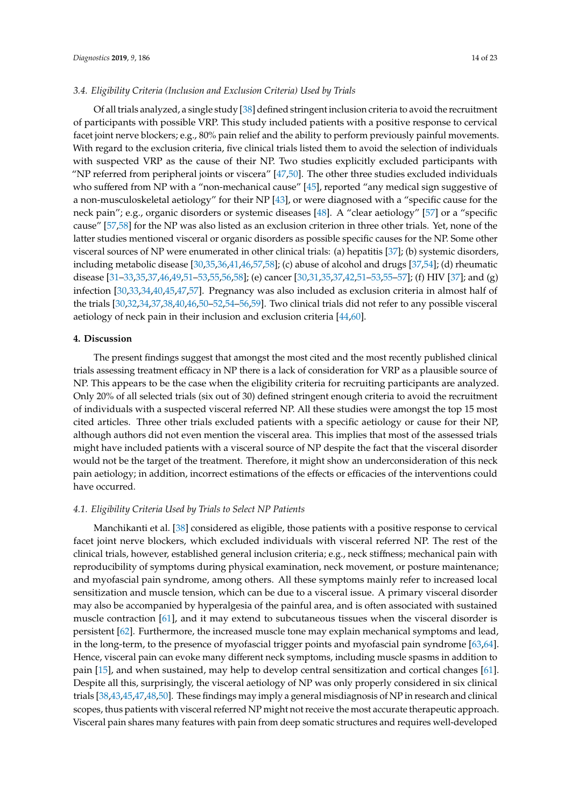#### *3.4. Eligibility Criteria (Inclusion and Exclusion Criteria) Used by Trials*

Of all trials analyzed, a single study [\[38\]](#page-18-4) defined stringent inclusion criteria to avoid the recruitment of participants with possible VRP. This study included patients with a positive response to cervical facet joint nerve blockers; e.g., 80% pain relief and the ability to perform previously painful movements. With regard to the exclusion criteria, five clinical trials listed them to avoid the selection of individuals with suspected VRP as the cause of their NP. Two studies explicitly excluded participants with "NP referred from peripheral joints or viscera" [\[47](#page-18-22)[,50\]](#page-18-23). The other three studies excluded individuals who suffered from NP with a "non-mechanical cause" [\[45\]](#page-18-24), reported "any medical sign suggestive of a non-musculoskeletal aetiology" for their NP [\[43\]](#page-18-25), or were diagnosed with a "specific cause for the neck pain"; e.g., organic disorders or systemic diseases [\[48\]](#page-18-26). A "clear aetiology" [\[57\]](#page-19-10) or a "specific cause" [\[57](#page-19-10)[,58\]](#page-19-11) for the NP was also listed as an exclusion criterion in three other trials. Yet, none of the latter studies mentioned visceral or organic disorders as possible specific causes for the NP. Some other visceral sources of NP were enumerated in other clinical trials: (a) hepatitis [\[37\]](#page-18-3); (b) systemic disorders, including metabolic disease [\[30](#page-17-17)[,35](#page-18-1)[,36,](#page-18-2)[41,](#page-18-14)[46,](#page-18-27)[57](#page-19-10)[,58\]](#page-19-11); (c) abuse of alcohol and drugs [\[37,](#page-18-3)[54\]](#page-19-12); (d) rheumatic disease [\[31](#page-17-18)[–33,](#page-17-20)[35,](#page-18-1)[37,](#page-18-3)[46,](#page-18-27)[49](#page-18-28)[,51](#page-19-13)[–53](#page-19-14)[,55](#page-19-15)[,56](#page-19-16)[,58\]](#page-19-11); (e) cancer [\[30](#page-17-17)[,31](#page-17-18)[,35](#page-18-1)[,37](#page-18-3)[,42](#page-18-29)[,51](#page-19-13)[–53,](#page-19-14)[55–](#page-19-15)[57\]](#page-19-10); (f) HIV [\[37\]](#page-18-3); and (g) infection [\[30,](#page-17-17)[33,](#page-17-20)[34,](#page-18-0)[40,](#page-18-30)[45,](#page-18-24)[47,](#page-18-22)[57\]](#page-19-10). Pregnancy was also included as exclusion criteria in almost half of the trials [\[30](#page-17-17)[,32](#page-17-19)[,34,](#page-18-0)[37,](#page-18-3)[38,](#page-18-4)[40,](#page-18-30)[46](#page-18-27)[,50](#page-18-23)[–52](#page-19-17)[,54–](#page-19-12)[56,](#page-19-16)[59\]](#page-19-18). Two clinical trials did not refer to any possible visceral aetiology of neck pain in their inclusion and exclusion criteria [\[44,](#page-18-31)[60\]](#page-19-19).

#### **4. Discussion**

The present findings suggest that amongst the most cited and the most recently published clinical trials assessing treatment efficacy in NP there is a lack of consideration for VRP as a plausible source of NP. This appears to be the case when the eligibility criteria for recruiting participants are analyzed. Only 20% of all selected trials (six out of 30) defined stringent enough criteria to avoid the recruitment of individuals with a suspected visceral referred NP. All these studies were amongst the top 15 most cited articles. Three other trials excluded patients with a specific aetiology or cause for their NP, although authors did not even mention the visceral area. This implies that most of the assessed trials might have included patients with a visceral source of NP despite the fact that the visceral disorder would not be the target of the treatment. Therefore, it might show an underconsideration of this neck pain aetiology; in addition, incorrect estimations of the effects or efficacies of the interventions could have occurred.

#### *4.1. Eligibility Criteria Used by Trials to Select NP Patients*

Manchikanti et al. [\[38\]](#page-18-4) considered as eligible, those patients with a positive response to cervical facet joint nerve blockers, which excluded individuals with visceral referred NP. The rest of the clinical trials, however, established general inclusion criteria; e.g., neck stiffness; mechanical pain with reproducibility of symptoms during physical examination, neck movement, or posture maintenance; and myofascial pain syndrome, among others. All these symptoms mainly refer to increased local sensitization and muscle tension, which can be due to a visceral issue. A primary visceral disorder may also be accompanied by hyperalgesia of the painful area, and is often associated with sustained muscle contraction [\[61\]](#page-19-20), and it may extend to subcutaneous tissues when the visceral disorder is persistent [\[62\]](#page-19-21). Furthermore, the increased muscle tone may explain mechanical symptoms and lead, in the long-term, to the presence of myofascial trigger points and myofascial pain syndrome [\[63,](#page-19-22)[64\]](#page-19-23). Hence, visceral pain can evoke many different neck symptoms, including muscle spasms in addition to pain [\[15\]](#page-17-2), and when sustained, may help to develop central sensitization and cortical changes [\[61\]](#page-19-20). Despite all this, surprisingly, the visceral aetiology of NP was only properly considered in six clinical trials [\[38,](#page-18-4)[43,](#page-18-25)[45,](#page-18-24)[47](#page-18-22)[,48](#page-18-26)[,50\]](#page-18-23). These findings may imply a general misdiagnosis of NP in research and clinical scopes, thus patients with visceral referred NP might not receive the most accurate therapeutic approach. Visceral pain shares many features with pain from deep somatic structures and requires well-developed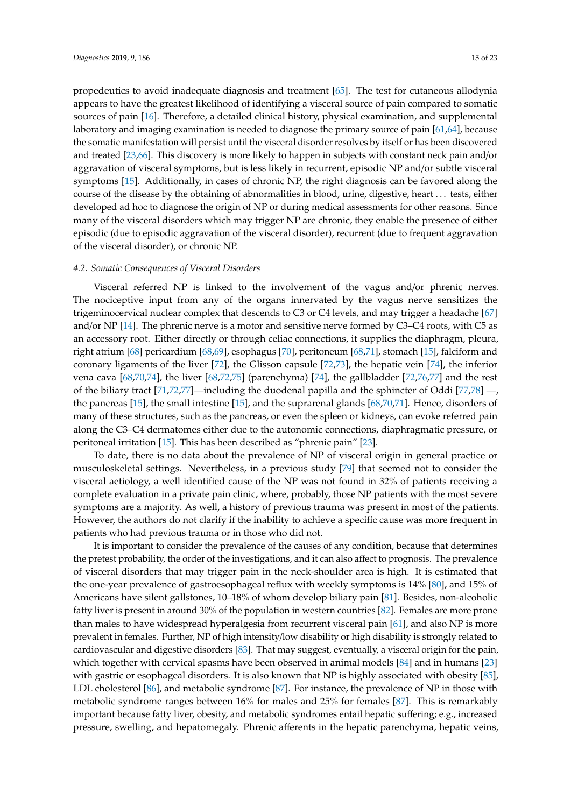propedeutics to avoid inadequate diagnosis and treatment [\[65\]](#page-19-24). The test for cutaneous allodynia appears to have the greatest likelihood of identifying a visceral source of pain compared to somatic sources of pain [\[16\]](#page-17-3). Therefore, a detailed clinical history, physical examination, and supplemental laboratory and imaging examination is needed to diagnose the primary source of pain [\[61,](#page-19-20)[64\]](#page-19-23), because the somatic manifestation will persist until the visceral disorder resolves by itself or has been discovered and treated [\[23,](#page-17-10)[66\]](#page-19-25). This discovery is more likely to happen in subjects with constant neck pain and/or aggravation of visceral symptoms, but is less likely in recurrent, episodic NP and/or subtle visceral symptoms [\[15\]](#page-17-2). Additionally, in cases of chronic NP, the right diagnosis can be favored along the course of the disease by the obtaining of abnormalities in blood, urine, digestive, heart . . . tests, either developed ad hoc to diagnose the origin of NP or during medical assessments for other reasons. Since many of the visceral disorders which may trigger NP are chronic, they enable the presence of either episodic (due to episodic aggravation of the visceral disorder), recurrent (due to frequent aggravation of the visceral disorder), or chronic NP.

#### *4.2. Somatic Consequences of Visceral Disorders*

Visceral referred NP is linked to the involvement of the vagus and/or phrenic nerves. The nociceptive input from any of the organs innervated by the vagus nerve sensitizes the trigeminocervical nuclear complex that descends to C3 or C4 levels, and may trigger a headache [\[67\]](#page-19-26) and/or NP [\[14\]](#page-17-1). The phrenic nerve is a motor and sensitive nerve formed by C3–C4 roots, with C5 as an accessory root. Either directly or through celiac connections, it supplies the diaphragm, pleura, right atrium [\[68\]](#page-19-27) pericardium [\[68](#page-19-27)[,69\]](#page-19-28), esophagus [\[70\]](#page-19-29), peritoneum [\[68](#page-19-27)[,71\]](#page-20-0), stomach [\[15\]](#page-17-2), falciform and coronary ligaments of the liver [\[72\]](#page-20-1), the Glisson capsule [\[72,](#page-20-1)[73\]](#page-20-2), the hepatic vein [\[74\]](#page-20-3), the inferior vena cava [\[68,](#page-19-27)[70,](#page-19-29)[74\]](#page-20-3), the liver [\[68,](#page-19-27)[72,](#page-20-1)[75\]](#page-20-4) (parenchyma) [\[74\]](#page-20-3), the gallbladder [\[72](#page-20-1)[,76](#page-20-5)[,77\]](#page-20-6) and the rest of the biliary tract [\[71](#page-20-0)[,72](#page-20-1)[,77\]](#page-20-6)—including the duodenal papilla and the sphincter of Oddi [\[77,](#page-20-6)[78\]](#page-20-7) —, the pancreas [\[15\]](#page-17-2), the small intestine [\[15\]](#page-17-2), and the suprarenal glands [\[68,](#page-19-27)[70,](#page-19-29)[71\]](#page-20-0). Hence, disorders of many of these structures, such as the pancreas, or even the spleen or kidneys, can evoke referred pain along the C3–C4 dermatomes either due to the autonomic connections, diaphragmatic pressure, or peritoneal irritation [\[15\]](#page-17-2). This has been described as "phrenic pain" [\[23\]](#page-17-10).

To date, there is no data about the prevalence of NP of visceral origin in general practice or musculoskeletal settings. Nevertheless, in a previous study [\[79\]](#page-20-8) that seemed not to consider the visceral aetiology, a well identified cause of the NP was not found in 32% of patients receiving a complete evaluation in a private pain clinic, where, probably, those NP patients with the most severe symptoms are a majority. As well, a history of previous trauma was present in most of the patients. However, the authors do not clarify if the inability to achieve a specific cause was more frequent in patients who had previous trauma or in those who did not.

It is important to consider the prevalence of the causes of any condition, because that determines the pretest probability, the order of the investigations, and it can also affect to prognosis. The prevalence of visceral disorders that may trigger pain in the neck-shoulder area is high. It is estimated that the one-year prevalence of gastroesophageal reflux with weekly symptoms is 14% [\[80\]](#page-20-9), and 15% of Americans have silent gallstones, 10–18% of whom develop biliary pain [\[81\]](#page-20-10). Besides, non-alcoholic fatty liver is present in around 30% of the population in western countries [\[82\]](#page-20-11). Females are more prone than males to have widespread hyperalgesia from recurrent visceral pain [\[61\]](#page-19-20), and also NP is more prevalent in females. Further, NP of high intensity/low disability or high disability is strongly related to cardiovascular and digestive disorders [\[83\]](#page-20-12). That may suggest, eventually, a visceral origin for the pain, which together with cervical spasms have been observed in animal models [\[84\]](#page-20-13) and in humans [\[23\]](#page-17-10) with gastric or esophageal disorders. It is also known that NP is highly associated with obesity [\[85\]](#page-20-14), LDL cholesterol [\[86\]](#page-20-15), and metabolic syndrome [\[87\]](#page-20-16). For instance, the prevalence of NP in those with metabolic syndrome ranges between 16% for males and 25% for females [\[87\]](#page-20-16). This is remarkably important because fatty liver, obesity, and metabolic syndromes entail hepatic suffering; e.g., increased pressure, swelling, and hepatomegaly. Phrenic afferents in the hepatic parenchyma, hepatic veins,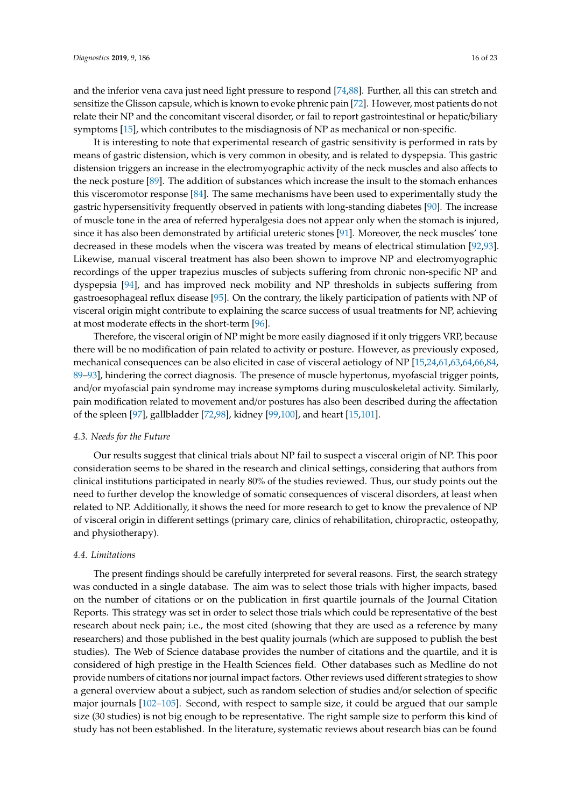and the inferior vena cava just need light pressure to respond [\[74](#page-20-3)[,88\]](#page-20-17). Further, all this can stretch and sensitize the Glisson capsule, which is known to evoke phrenic pain [\[72\]](#page-20-1). However, most patients do not relate their NP and the concomitant visceral disorder, or fail to report gastrointestinal or hepatic/biliary symptoms [\[15\]](#page-17-2), which contributes to the misdiagnosis of NP as mechanical or non-specific.

It is interesting to note that experimental research of gastric sensitivity is performed in rats by means of gastric distension, which is very common in obesity, and is related to dyspepsia. This gastric distension triggers an increase in the electromyographic activity of the neck muscles and also affects to the neck posture [\[89\]](#page-20-18). The addition of substances which increase the insult to the stomach enhances this visceromotor response [\[84\]](#page-20-13). The same mechanisms have been used to experimentally study the gastric hypersensitivity frequently observed in patients with long-standing diabetes [\[90\]](#page-20-19). The increase of muscle tone in the area of referred hyperalgesia does not appear only when the stomach is injured, since it has also been demonstrated by artificial ureteric stones [\[91\]](#page-20-20). Moreover, the neck muscles' tone decreased in these models when the viscera was treated by means of electrical stimulation [\[92,](#page-21-0)[93\]](#page-21-1). Likewise, manual visceral treatment has also been shown to improve NP and electromyographic recordings of the upper trapezius muscles of subjects suffering from chronic non-specific NP and dyspepsia [\[94\]](#page-21-2), and has improved neck mobility and NP thresholds in subjects suffering from gastroesophageal reflux disease [\[95\]](#page-21-3). On the contrary, the likely participation of patients with NP of visceral origin might contribute to explaining the scarce success of usual treatments for NP, achieving at most moderate effects in the short-term [\[96\]](#page-21-4).

Therefore, the visceral origin of NP might be more easily diagnosed if it only triggers VRP, because there will be no modification of pain related to activity or posture. However, as previously exposed, mechanical consequences can be also elicited in case of visceral aetiology of NP [\[15,](#page-17-2)[24,](#page-17-11)[61,](#page-19-20)[63,](#page-19-22)[64,](#page-19-23)[66,](#page-19-25)[84,](#page-20-13) [89](#page-20-18)[–93\]](#page-21-1), hindering the correct diagnosis. The presence of muscle hypertonus, myofascial trigger points, and/or myofascial pain syndrome may increase symptoms during musculoskeletal activity. Similarly, pain modification related to movement and/or postures has also been described during the affectation of the spleen [\[97\]](#page-21-5), gallbladder [\[72](#page-20-1)[,98\]](#page-21-6), kidney [\[99,](#page-21-7)[100\]](#page-21-8), and heart [\[15,](#page-17-2)[101\]](#page-21-9).

#### *4.3. Needs for the Future*

Our results suggest that clinical trials about NP fail to suspect a visceral origin of NP. This poor consideration seems to be shared in the research and clinical settings, considering that authors from clinical institutions participated in nearly 80% of the studies reviewed. Thus, our study points out the need to further develop the knowledge of somatic consequences of visceral disorders, at least when related to NP. Additionally, it shows the need for more research to get to know the prevalence of NP of visceral origin in different settings (primary care, clinics of rehabilitation, chiropractic, osteopathy, and physiotherapy).

#### *4.4. Limitations*

The present findings should be carefully interpreted for several reasons. First, the search strategy was conducted in a single database. The aim was to select those trials with higher impacts, based on the number of citations or on the publication in first quartile journals of the Journal Citation Reports. This strategy was set in order to select those trials which could be representative of the best research about neck pain; i.e., the most cited (showing that they are used as a reference by many researchers) and those published in the best quality journals (which are supposed to publish the best studies). The Web of Science database provides the number of citations and the quartile, and it is considered of high prestige in the Health Sciences field. Other databases such as Medline do not provide numbers of citations nor journal impact factors. Other reviews used different strategies to show a general overview about a subject, such as random selection of studies and/or selection of specific major journals [\[102](#page-21-10)[–105\]](#page-21-11). Second, with respect to sample size, it could be argued that our sample size (30 studies) is not big enough to be representative. The right sample size to perform this kind of study has not been established. In the literature, systematic reviews about research bias can be found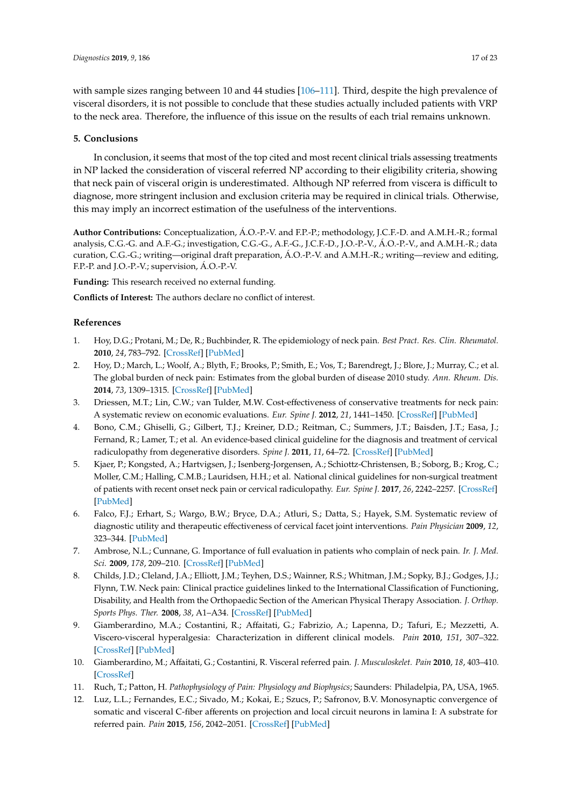with sample sizes ranging between 10 and 44 studies [\[106](#page-21-12)[–111\]](#page-22-0). Third, despite the high prevalence of visceral disorders, it is not possible to conclude that these studies actually included patients with VRP to the neck area. Therefore, the influence of this issue on the results of each trial remains unknown.

# **5. Conclusions**

In conclusion, it seems that most of the top cited and most recent clinical trials assessing treatments in NP lacked the consideration of visceral referred NP according to their eligibility criteria, showing that neck pain of visceral origin is underestimated. Although NP referred from viscera is difficult to diagnose, more stringent inclusion and exclusion criteria may be required in clinical trials. Otherwise, this may imply an incorrect estimation of the usefulness of the interventions.

**Author Contributions:** Conceptualization, Á.O.-P.-V. and F.P.-P.; methodology, J.C.F.-D. and A.M.H.-R.; formal analysis, C.G.-G. and A.F.-G.; investigation, C.G.-G., A.F.-G., J.C.F.-D., J.O.-P.-V., Á.O.-P.-V., and A.M.H.-R.; data curation, C.G.-G.; writing—original draft preparation, Á.O.-P.-V. and A.M.H.-R.; writing—review and editing, F.P.-P. and J.O.-P.-V.; supervision, Á.O.-P.-V.

**Funding:** This research received no external funding.

**Conflicts of Interest:** The authors declare no conflict of interest.

### **References**

- <span id="page-16-0"></span>1. Hoy, D.G.; Protani, M.; De, R.; Buchbinder, R. The epidemiology of neck pain. *Best Pract. Res. Clin. Rheumatol.* **2010**, *24*, 783–792. [\[CrossRef\]](http://dx.doi.org/10.1016/j.berh.2011.01.019) [\[PubMed\]](http://www.ncbi.nlm.nih.gov/pubmed/21665126)
- <span id="page-16-1"></span>2. Hoy, D.; March, L.; Woolf, A.; Blyth, F.; Brooks, P.; Smith, E.; Vos, T.; Barendregt, J.; Blore, J.; Murray, C.; et al. The global burden of neck pain: Estimates from the global burden of disease 2010 study. *Ann. Rheum. Dis.* **2014**, *73*, 1309–1315. [\[CrossRef\]](http://dx.doi.org/10.1136/annrheumdis-2013-204431) [\[PubMed\]](http://www.ncbi.nlm.nih.gov/pubmed/24482302)
- <span id="page-16-2"></span>3. Driessen, M.T.; Lin, C.W.; van Tulder, M.W. Cost-effectiveness of conservative treatments for neck pain: A systematic review on economic evaluations. *Eur. Spine J.* **2012**, *21*, 1441–1450. [\[CrossRef\]](http://dx.doi.org/10.1007/s00586-012-2272-5) [\[PubMed\]](http://www.ncbi.nlm.nih.gov/pubmed/22447407)
- <span id="page-16-3"></span>4. Bono, C.M.; Ghiselli, G.; Gilbert, T.J.; Kreiner, D.D.; Reitman, C.; Summers, J.T.; Baisden, J.T.; Easa, J.; Fernand, R.; Lamer, T.; et al. An evidence-based clinical guideline for the diagnosis and treatment of cervical radiculopathy from degenerative disorders. *Spine J.* **2011**, *11*, 64–72. [\[CrossRef\]](http://dx.doi.org/10.1016/j.spinee.2010.10.023) [\[PubMed\]](http://www.ncbi.nlm.nih.gov/pubmed/21168100)
- <span id="page-16-4"></span>5. Kjaer, P.; Kongsted, A.; Hartvigsen, J.; Isenberg-Jorgensen, A.; Schiottz-Christensen, B.; Soborg, B.; Krog, C.; Moller, C.M.; Halling, C.M.B.; Lauridsen, H.H.; et al. National clinical guidelines for non-surgical treatment of patients with recent onset neck pain or cervical radiculopathy. *Eur. Spine J.* **2017**, *26*, 2242–2257. [\[CrossRef\]](http://dx.doi.org/10.1007/s00586-017-5121-8) [\[PubMed\]](http://www.ncbi.nlm.nih.gov/pubmed/28523381)
- <span id="page-16-5"></span>6. Falco, F.J.; Erhart, S.; Wargo, B.W.; Bryce, D.A.; Atluri, S.; Datta, S.; Hayek, S.M. Systematic review of diagnostic utility and therapeutic effectiveness of cervical facet joint interventions. *Pain Physician* **2009**, *12*, 323–344. [\[PubMed\]](http://www.ncbi.nlm.nih.gov/pubmed/19305483)
- <span id="page-16-6"></span>7. Ambrose, N.L.; Cunnane, G. Importance of full evaluation in patients who complain of neck pain. *Ir. J. Med. Sci.* **2009**, *178*, 209–210. [\[CrossRef\]](http://dx.doi.org/10.1007/s11845-008-0256-6) [\[PubMed\]](http://www.ncbi.nlm.nih.gov/pubmed/19129980)
- <span id="page-16-7"></span>8. Childs, J.D.; Cleland, J.A.; Elliott, J.M.; Teyhen, D.S.; Wainner, R.S.; Whitman, J.M.; Sopky, B.J.; Godges, J.J.; Flynn, T.W. Neck pain: Clinical practice guidelines linked to the International Classification of Functioning, Disability, and Health from the Orthopaedic Section of the American Physical Therapy Association. *J. Orthop. Sports Phys. Ther.* **2008**, *38*, A1–A34. [\[CrossRef\]](http://dx.doi.org/10.2519/jospt.2008.0303) [\[PubMed\]](http://www.ncbi.nlm.nih.gov/pubmed/18758050)
- <span id="page-16-8"></span>9. Giamberardino, M.A.; Costantini, R.; Affaitati, G.; Fabrizio, A.; Lapenna, D.; Tafuri, E.; Mezzetti, A. Viscero-visceral hyperalgesia: Characterization in different clinical models. *Pain* **2010**, *151*, 307–322. [\[CrossRef\]](http://dx.doi.org/10.1016/j.pain.2010.06.023) [\[PubMed\]](http://www.ncbi.nlm.nih.gov/pubmed/20638177)
- <span id="page-16-9"></span>10. Giamberardino, M.; Affaitati, G.; Costantini, R. Visceral referred pain. *J. Musculoskelet. Pain* **2010**, *18*, 403–410. [\[CrossRef\]](http://dx.doi.org/10.3109/10582452.2010.502624)
- <span id="page-16-10"></span>11. Ruch, T.; Patton, H. *Pathophysiology of Pain: Physiology and Biophysics*; Saunders: Philadelpia, PA, USA, 1965.
- <span id="page-16-11"></span>12. Luz, L.L.; Fernandes, E.C.; Sivado, M.; Kokai, E.; Szucs, P.; Safronov, B.V. Monosynaptic convergence of somatic and visceral C-fiber afferents on projection and local circuit neurons in lamina I: A substrate for referred pain. *Pain* **2015**, *156*, 2042–2051. [\[CrossRef\]](http://dx.doi.org/10.1097/j.pain.0000000000000267) [\[PubMed\]](http://www.ncbi.nlm.nih.gov/pubmed/26098437)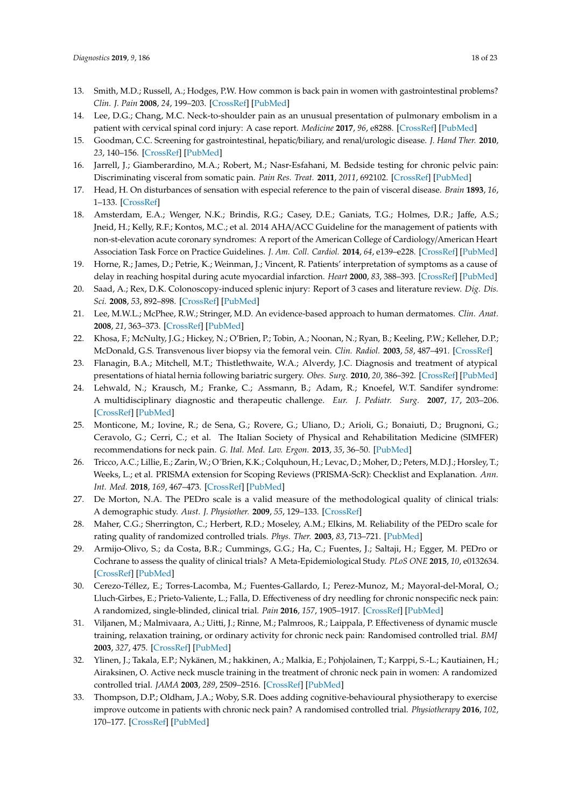- <span id="page-17-0"></span>13. Smith, M.D.; Russell, A.; Hodges, P.W. How common is back pain in women with gastrointestinal problems? *Clin. J. Pain* **2008**, *24*, 199–203. [\[CrossRef\]](http://dx.doi.org/10.1097/AJP.0b013e31815d3601) [\[PubMed\]](http://www.ncbi.nlm.nih.gov/pubmed/18287824)
- <span id="page-17-1"></span>14. Lee, D.G.; Chang, M.C. Neck-to-shoulder pain as an unusual presentation of pulmonary embolism in a patient with cervical spinal cord injury: A case report. *Medicine* **2017**, *96*, e8288. [\[CrossRef\]](http://dx.doi.org/10.1097/MD.0000000000008288) [\[PubMed\]](http://www.ncbi.nlm.nih.gov/pubmed/29049229)
- <span id="page-17-2"></span>15. Goodman, C.C. Screening for gastrointestinal, hepatic/biliary, and renal/urologic disease. *J. Hand Ther.* **2010**, *23*, 140–156. [\[CrossRef\]](http://dx.doi.org/10.1016/j.jht.2009.10.005) [\[PubMed\]](http://www.ncbi.nlm.nih.gov/pubmed/20036512)
- <span id="page-17-3"></span>16. Jarrell, J.; Giamberardino, M.A.; Robert, M.; Nasr-Esfahani, M. Bedside testing for chronic pelvic pain: Discriminating visceral from somatic pain. *Pain Res. Treat.* **2011**, *2011*, 692102. [\[CrossRef\]](http://dx.doi.org/10.1155/2011/692102) [\[PubMed\]](http://www.ncbi.nlm.nih.gov/pubmed/22135736)
- <span id="page-17-4"></span>17. Head, H. On disturbances of sensation with especial reference to the pain of visceral disease. *Brain* **1893**, *16*, 1–133. [\[CrossRef\]](http://dx.doi.org/10.1093/brain/16.1-2.1)
- <span id="page-17-5"></span>18. Amsterdam, E.A.; Wenger, N.K.; Brindis, R.G.; Casey, D.E.; Ganiats, T.G.; Holmes, D.R.; Jaffe, A.S.; Jneid, H.; Kelly, R.F.; Kontos, M.C.; et al. 2014 AHA/ACC Guideline for the management of patients with non-st-elevation acute coronary syndromes: A report of the American College of Cardiology/American Heart Association Task Force on Practice Guidelines. *J. Am. Coll. Cardiol.* **2014**, *64*, e139–e228. [\[CrossRef\]](http://dx.doi.org/10.1016/j.jacc.2014.09.017) [\[PubMed\]](http://www.ncbi.nlm.nih.gov/pubmed/25260718)
- <span id="page-17-6"></span>19. Horne, R.; James, D.; Petrie, K.; Weinman, J.; Vincent, R. Patients' interpretation of symptoms as a cause of delay in reaching hospital during acute myocardial infarction. *Heart* **2000**, *83*, 388–393. [\[CrossRef\]](http://dx.doi.org/10.1136/heart.83.4.388) [\[PubMed\]](http://www.ncbi.nlm.nih.gov/pubmed/10722534)
- <span id="page-17-7"></span>20. Saad, A.; Rex, D.K. Colonoscopy-induced splenic injury: Report of 3 cases and literature review. *Dig. Dis. Sci.* **2008**, *53*, 892–898. [\[CrossRef\]](http://dx.doi.org/10.1007/s10620-007-9963-5) [\[PubMed\]](http://www.ncbi.nlm.nih.gov/pubmed/17934832)
- <span id="page-17-8"></span>21. Lee, M.W.L.; McPhee, R.W.; Stringer, M.D. An evidence-based approach to human dermatomes. *Clin. Anat.* **2008**, *21*, 363–373. [\[CrossRef\]](http://dx.doi.org/10.1002/ca.20636) [\[PubMed\]](http://www.ncbi.nlm.nih.gov/pubmed/18470936)
- <span id="page-17-23"></span><span id="page-17-9"></span>22. Khosa, F.; McNulty, J.G.; Hickey, N.; O'Brien, P.; Tobin, A.; Noonan, N.; Ryan, B.; Keeling, P.W.; Kelleher, D.P.; McDonald, G.S. Transvenous liver biopsy via the femoral vein. *Clin. Radiol.* **2003**, *58*, 487–491. [\[CrossRef\]](http://dx.doi.org/10.1016/S0009-9260(02)00576-7)
- <span id="page-17-10"></span>23. Flanagin, B.A.; Mitchell, M.T.; Thistlethwaite, W.A.; Alverdy, J.C. Diagnosis and treatment of atypical presentations of hiatal hernia following bariatric surgery. *Obes. Surg.* **2010**, *20*, 386–392. [\[CrossRef\]](http://dx.doi.org/10.1007/s11695-009-0013-6) [\[PubMed\]](http://www.ncbi.nlm.nih.gov/pubmed/19856036)
- <span id="page-17-22"></span><span id="page-17-11"></span>24. Lehwald, N.; Krausch, M.; Franke, C.; Assmann, B.; Adam, R.; Knoefel, W.T. Sandifer syndrome: A multidisciplinary diagnostic and therapeutic challenge. *Eur. J. Pediatr. Surg.* **2007**, *17*, 203–206. [\[CrossRef\]](http://dx.doi.org/10.1055/s-2007-965145) [\[PubMed\]](http://www.ncbi.nlm.nih.gov/pubmed/17638161)
- <span id="page-17-21"></span><span id="page-17-12"></span>25. Monticone, M.; Iovine, R.; de Sena, G.; Rovere, G.; Uliano, D.; Arioli, G.; Bonaiuti, D.; Brugnoni, G.; Ceravolo, G.; Cerri, C.; et al. The Italian Society of Physical and Rehabilitation Medicine (SIMFER) recommendations for neck pain. *G. Ital. Med. Lav. Ergon.* **2013**, *35*, 36–50. [\[PubMed\]](http://www.ncbi.nlm.nih.gov/pubmed/23798233)
- <span id="page-17-13"></span>26. Tricco, A.C.; Lillie, E.; Zarin, W.; O´Brien, K.K.; Colquhoun, H.; Levac, D.; Moher, D.; Peters, M.D.J.; Horsley, T.; Weeks, L.; et al. PRISMA extension for Scoping Reviews (PRISMA-ScR): Checklist and Explanation. *Ann. Int. Med.* **2018**, *169*, 467–473. [\[CrossRef\]](http://dx.doi.org/10.7326/M18-0850) [\[PubMed\]](http://www.ncbi.nlm.nih.gov/pubmed/30178033)
- <span id="page-17-14"></span>27. De Morton, N.A. The PEDro scale is a valid measure of the methodological quality of clinical trials: A demographic study. *Aust. J. Physiother.* **2009**, *55*, 129–133. [\[CrossRef\]](http://dx.doi.org/10.1016/S0004-9514(09)70043-1)
- <span id="page-17-15"></span>28. Maher, C.G.; Sherrington, C.; Herbert, R.D.; Moseley, A.M.; Elkins, M. Reliability of the PEDro scale for rating quality of randomized controlled trials. *Phys. Ther.* **2003**, *83*, 713–721. [\[PubMed\]](http://www.ncbi.nlm.nih.gov/pubmed/12882612)
- <span id="page-17-16"></span>29. Armijo-Olivo, S.; da Costa, B.R.; Cummings, G.G.; Ha, C.; Fuentes, J.; Saltaji, H.; Egger, M. PEDro or Cochrane to assess the quality of clinical trials? A Meta-Epidemiological Study. *PLoS ONE* **2015**, *10*, e0132634. [\[CrossRef\]](http://dx.doi.org/10.1371/journal.pone.0132634) [\[PubMed\]](http://www.ncbi.nlm.nih.gov/pubmed/26161653)
- <span id="page-17-17"></span>30. Cerezo-Téllez, E.; Torres-Lacomba, M.; Fuentes-Gallardo, I.; Perez-Munoz, M.; Mayoral-del-Moral, O.; Lluch-Girbes, E.; Prieto-Valiente, L.; Falla, D. Effectiveness of dry needling for chronic nonspecific neck pain: A randomized, single-blinded, clinical trial. *Pain* **2016**, *157*, 1905–1917. [\[CrossRef\]](http://dx.doi.org/10.1097/j.pain.0000000000000591) [\[PubMed\]](http://www.ncbi.nlm.nih.gov/pubmed/27537209)
- <span id="page-17-18"></span>31. Viljanen, M.; Malmivaara, A.; Uitti, J.; Rinne, M.; Palmroos, R.; Laippala, P. Effectiveness of dynamic muscle training, relaxation training, or ordinary activity for chronic neck pain: Randomised controlled trial. *BMJ* **2003**, *327*, 475. [\[CrossRef\]](http://dx.doi.org/10.1136/bmj.327.7413.475) [\[PubMed\]](http://www.ncbi.nlm.nih.gov/pubmed/12946968)
- <span id="page-17-19"></span>32. Ylinen, J.; Takala, E.P.; Nykänen, M.; hakkinen, A.; Malkia, E.; Pohjolainen, T.; Karppi, S.-L.; Kautiainen, H.; Airaksinen, O. Active neck muscle training in the treatment of chronic neck pain in women: A randomized controlled trial. *JAMA* **2003**, *289*, 2509–2516. [\[CrossRef\]](http://dx.doi.org/10.1001/jama.289.19.2509) [\[PubMed\]](http://www.ncbi.nlm.nih.gov/pubmed/12759322)
- <span id="page-17-20"></span>33. Thompson, D.P.; Oldham, J.A.; Woby, S.R. Does adding cognitive-behavioural physiotherapy to exercise improve outcome in patients with chronic neck pain? A randomised controlled trial. *Physiotherapy* **2016**, *102*, 170–177. [\[CrossRef\]](http://dx.doi.org/10.1016/j.physio.2015.04.008) [\[PubMed\]](http://www.ncbi.nlm.nih.gov/pubmed/26383695)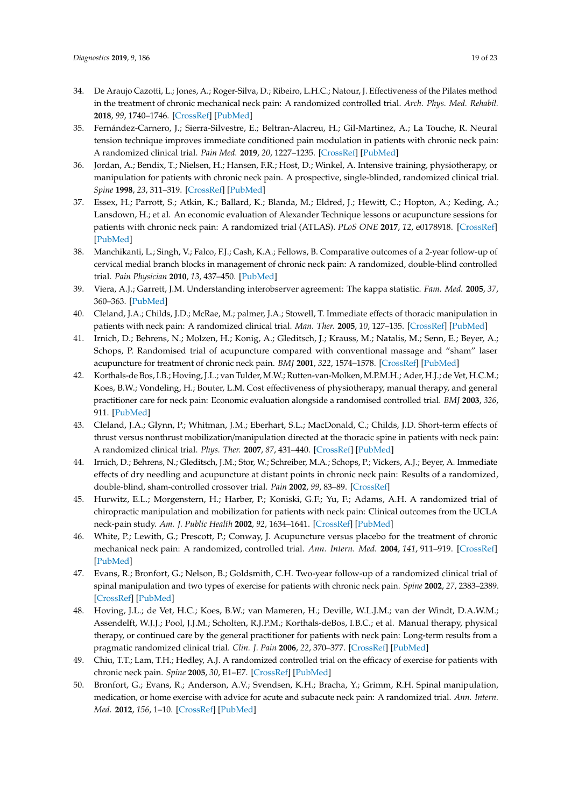- <span id="page-18-21"></span><span id="page-18-20"></span><span id="page-18-19"></span><span id="page-18-15"></span><span id="page-18-8"></span><span id="page-18-7"></span><span id="page-18-6"></span><span id="page-18-0"></span>34. De Araujo Cazotti, L.; Jones, A.; Roger-Silva, D.; Ribeiro, L.H.C.; Natour, J. Effectiveness of the Pilates method in the treatment of chronic mechanical neck pain: A randomized controlled trial. *Arch. Phys. Med. Rehabil.* **2018**, *99*, 1740–1746. [\[CrossRef\]](http://dx.doi.org/10.1016/j.apmr.2018.04.018) [\[PubMed\]](http://www.ncbi.nlm.nih.gov/pubmed/29752907)
- <span id="page-18-9"></span><span id="page-18-1"></span>35. Fernández-Carnero, J.; Sierra-Silvestre, E.; Beltran-Alacreu, H.; Gil-Martinez, A.; La Touche, R. Neural tension technique improves immediate conditioned pain modulation in patients with chronic neck pain: A randomized clinical trial. *Pain Med.* **2019**, *20*, 1227–1235. [\[CrossRef\]](http://dx.doi.org/10.1093/pm/pny115) [\[PubMed\]](http://www.ncbi.nlm.nih.gov/pubmed/29945245)
- <span id="page-18-2"></span>36. Jordan, A.; Bendix, T.; Nielsen, H.; Hansen, F.R.; Host, D.; Winkel, A. Intensive training, physiotherapy, or manipulation for patients with chronic neck pain. A prospective, single-blinded, randomized clinical trial. *Spine* **1998**, *23*, 311–319. [\[CrossRef\]](http://dx.doi.org/10.1097/00007632-199802010-00005) [\[PubMed\]](http://www.ncbi.nlm.nih.gov/pubmed/9507618)
- <span id="page-18-11"></span><span id="page-18-10"></span><span id="page-18-3"></span>37. Essex, H.; Parrott, S.; Atkin, K.; Ballard, K.; Blanda, M.; Eldred, J.; Hewitt, C.; Hopton, A.; Keding, A.; Lansdown, H.; et al. An economic evaluation of Alexander Technique lessons or acupuncture sessions for patients with chronic neck pain: A randomized trial (ATLAS). *PLoS ONE* **2017**, *12*, e0178918. [\[CrossRef\]](http://dx.doi.org/10.1371/journal.pone.0178918) [\[PubMed\]](http://www.ncbi.nlm.nih.gov/pubmed/29211741)
- <span id="page-18-12"></span><span id="page-18-4"></span>38. Manchikanti, L.; Singh, V.; Falco, F.J.; Cash, K.A.; Fellows, B. Comparative outcomes of a 2-year follow-up of cervical medial branch blocks in management of chronic neck pain: A randomized, double-blind controlled trial. *Pain Physician* **2010**, *13*, 437–450. [\[PubMed\]](http://www.ncbi.nlm.nih.gov/pubmed/20859313)
- <span id="page-18-13"></span><span id="page-18-5"></span>39. Viera, A.J.; Garrett, J.M. Understanding interobserver agreement: The kappa statistic. *Fam. Med.* **2005**, *37*, 360–363. [\[PubMed\]](http://www.ncbi.nlm.nih.gov/pubmed/15883903)
- <span id="page-18-30"></span>40. Cleland, J.A.; Childs, J.D.; McRae, M.; palmer, J.A.; Stowell, T. Immediate effects of thoracic manipulation in patients with neck pain: A randomized clinical trial. *Man. Ther.* **2005**, *10*, 127–135. [\[CrossRef\]](http://dx.doi.org/10.1016/j.math.2004.08.005) [\[PubMed\]](http://www.ncbi.nlm.nih.gov/pubmed/15922233)
- <span id="page-18-14"></span>41. Irnich, D.; Behrens, N.; Molzen, H.; Konig, A.; Gleditsch, J.; Krauss, M.; Natalis, M.; Senn, E.; Beyer, A.; Schops, P. Randomised trial of acupuncture compared with conventional massage and "sham" laser acupuncture for treatment of chronic neck pain. *BMJ* **2001**, *322*, 1574–1578. [\[CrossRef\]](http://dx.doi.org/10.1136/bmj.322.7302.1574) [\[PubMed\]](http://www.ncbi.nlm.nih.gov/pubmed/11431299)
- <span id="page-18-29"></span><span id="page-18-16"></span>42. Korthals-de Bos, I.B.; Hoving, J.L.; van Tulder, M.W.; Rutten-van-Molken, M.P.M.H.; Ader, H.J.; de Vet, H.C.M.; Koes, B.W.; Vondeling, H.; Bouter, L.M. Cost effectiveness of physiotherapy, manual therapy, and general practitioner care for neck pain: Economic evaluation alongside a randomised controlled trial. *BMJ* **2003**, *326*, 911. [\[PubMed\]](http://www.ncbi.nlm.nih.gov/pubmed/12714472)
- <span id="page-18-25"></span><span id="page-18-17"></span>43. Cleland, J.A.; Glynn, P.; Whitman, J.M.; Eberhart, S.L.; MacDonald, C.; Childs, J.D. Short-term effects of thrust versus nonthrust mobilization/manipulation directed at the thoracic spine in patients with neck pain: A randomized clinical trial. *Phys. Ther.* **2007**, *87*, 431–440. [\[CrossRef\]](http://dx.doi.org/10.2522/ptj.20060217) [\[PubMed\]](http://www.ncbi.nlm.nih.gov/pubmed/17341509)
- <span id="page-18-31"></span><span id="page-18-18"></span>44. Irnich, D.; Behrens, N.; Gleditsch, J.M.; Stor, W.; Schreiber, M.A.; Schops, P.; Vickers, A.J.; Beyer, A. Immediate effects of dry needling and acupuncture at distant points in chronic neck pain: Results of a randomized, double-blind, sham-controlled crossover trial. *Pain* **2002**, *99*, 83–89. [\[CrossRef\]](http://dx.doi.org/10.1016/S0304-3959(02)00062-3)
- <span id="page-18-24"></span>45. Hurwitz, E.L.; Morgenstern, H.; Harber, P.; Koniski, G.F.; Yu, F.; Adams, A.H. A randomized trial of chiropractic manipulation and mobilization for patients with neck pain: Clinical outcomes from the UCLA neck-pain study. *Am. J. Public Health* **2002**, *92*, 1634–1641. [\[CrossRef\]](http://dx.doi.org/10.2105/AJPH.92.10.1634) [\[PubMed\]](http://www.ncbi.nlm.nih.gov/pubmed/12356613)
- <span id="page-18-27"></span>46. White, P.; Lewith, G.; Prescott, P.; Conway, J. Acupuncture versus placebo for the treatment of chronic mechanical neck pain: A randomized, controlled trial. *Ann. Intern. Med.* **2004**, *141*, 911–919. [\[CrossRef\]](http://dx.doi.org/10.7326/0003-4819-141-12-200412210-00007) [\[PubMed\]](http://www.ncbi.nlm.nih.gov/pubmed/15611488)
- <span id="page-18-22"></span>47. Evans, R.; Bronfort, G.; Nelson, B.; Goldsmith, C.H. Two-year follow-up of a randomized clinical trial of spinal manipulation and two types of exercise for patients with chronic neck pain. *Spine* **2002**, *27*, 2383–2389. [\[CrossRef\]](http://dx.doi.org/10.1097/00007632-200211010-00013) [\[PubMed\]](http://www.ncbi.nlm.nih.gov/pubmed/12438988)
- <span id="page-18-26"></span>48. Hoving, J.L.; de Vet, H.C.; Koes, B.W.; van Mameren, H.; Deville, W.L.J.M.; van der Windt, D.A.W.M.; Assendelft, W.J.J.; Pool, J.J.M.; Scholten, R.J.P.M.; Korthals-deBos, I.B.C.; et al. Manual therapy, physical therapy, or continued care by the general practitioner for patients with neck pain: Long-term results from a pragmatic randomized clinical trial. *Clin. J. Pain* **2006**, *22*, 370–377. [\[CrossRef\]](http://dx.doi.org/10.1097/01.ajp.0000180185.79382.3f) [\[PubMed\]](http://www.ncbi.nlm.nih.gov/pubmed/16691091)
- <span id="page-18-28"></span>49. Chiu, T.T.; Lam, T.H.; Hedley, A.J. A randomized controlled trial on the efficacy of exercise for patients with chronic neck pain. *Spine* **2005**, *30*, E1–E7. [\[CrossRef\]](http://dx.doi.org/10.1097/01.brs.0000149082.68262.b1) [\[PubMed\]](http://www.ncbi.nlm.nih.gov/pubmed/15626966)
- <span id="page-18-23"></span>50. Bronfort, G.; Evans, R.; Anderson, A.V.; Svendsen, K.H.; Bracha, Y.; Grimm, R.H. Spinal manipulation, medication, or home exercise with advice for acute and subacute neck pain: A randomized trial. *Ann. Intern. Med.* **2012**, *156*, 1–10. [\[CrossRef\]](http://dx.doi.org/10.7326/0003-4819-156-1-201201030-00002) [\[PubMed\]](http://www.ncbi.nlm.nih.gov/pubmed/22213489)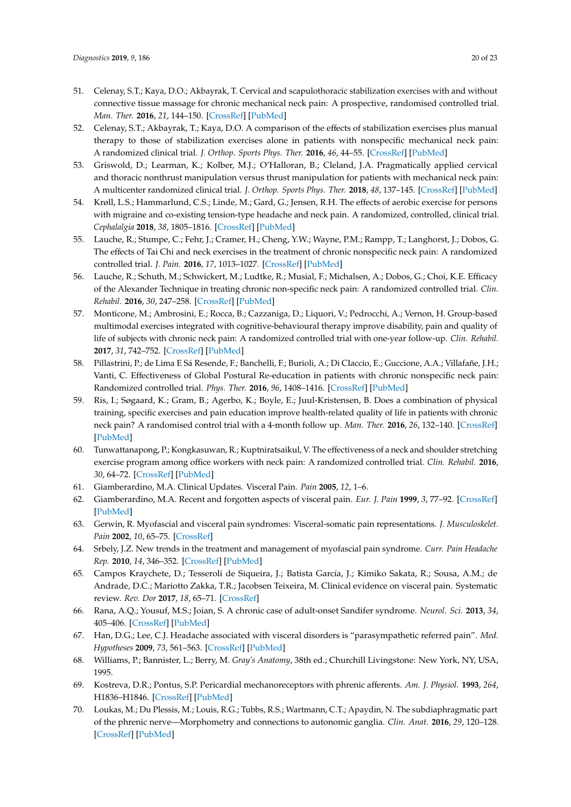- <span id="page-19-13"></span><span id="page-19-6"></span><span id="page-19-5"></span><span id="page-19-4"></span><span id="page-19-3"></span><span id="page-19-2"></span><span id="page-19-1"></span><span id="page-19-0"></span>51. Celenay, S.T.; Kaya, D.O.; Akbayrak, T. Cervical and scapulothoracic stabilization exercises with and without connective tissue massage for chronic mechanical neck pain: A prospective, randomised controlled trial. *Man. Ther.* **2016**, *21*, 144–150. [\[CrossRef\]](http://dx.doi.org/10.1016/j.math.2015.07.003) [\[PubMed\]](http://www.ncbi.nlm.nih.gov/pubmed/26211422)
- <span id="page-19-17"></span><span id="page-19-7"></span>52. Celenay, S.T.; Akbayrak, T.; Kaya, D.O. A comparison of the effects of stabilization exercises plus manual therapy to those of stabilization exercises alone in patients with nonspecific mechanical neck pain: A randomized clinical trial. *J. Orthop. Sports Phys. Ther.* **2016**, *46*, 44–55. [\[CrossRef\]](http://dx.doi.org/10.2519/jospt.2016.5979) [\[PubMed\]](http://www.ncbi.nlm.nih.gov/pubmed/26755405)
- <span id="page-19-14"></span><span id="page-19-8"></span>53. Griswold, D.; Learman, K.; Kolber, M.J.; O'Halloran, B.; Cleland, J.A. Pragmatically applied cervical and thoracic nonthrust manipulation versus thrust manipulation for patients with mechanical neck pain: A multicenter randomized clinical trial. *J. Orthop. Sports Phys. Ther.* **2018**, *48*, 137–145. [\[CrossRef\]](http://dx.doi.org/10.2519/jospt.2018.7738) [\[PubMed\]](http://www.ncbi.nlm.nih.gov/pubmed/29406835)
- <span id="page-19-12"></span><span id="page-19-9"></span>54. Krøll, L.S.; Hammarlund, C.S.; Linde, M.; Gard, G.; Jensen, R.H. The effects of aerobic exercise for persons with migraine and co-existing tension-type headache and neck pain. A randomized, controlled, clinical trial. *Cephalalgia* **2018**, *38*, 1805–1816. [\[CrossRef\]](http://dx.doi.org/10.1177/0333102417752119) [\[PubMed\]](http://www.ncbi.nlm.nih.gov/pubmed/29333870)
- <span id="page-19-15"></span>55. Lauche, R.; Stumpe, C.; Fehr, J.; Cramer, H.; Cheng, Y.W.; Wayne, P.M.; Rampp, T.; Langhorst, J.; Dobos, G. The effects of Tai Chi and neck exercises in the treatment of chronic nonspecific neck pain: A randomized controlled trial. *J. Pain.* **2016**, *17*, 1013–1027. [\[CrossRef\]](http://dx.doi.org/10.1016/j.jpain.2016.06.004) [\[PubMed\]](http://www.ncbi.nlm.nih.gov/pubmed/27345663)
- <span id="page-19-16"></span>56. Lauche, R.; Schuth, M.; Schwickert, M.; Ludtke, R.; Musial, F.; Michalsen, A.; Dobos, G.; Choi, K.E. Efficacy of the Alexander Technique in treating chronic non-specific neck pain: A randomized controlled trial. *Clin. Rehabil.* **2016**, *30*, 247–258. [\[CrossRef\]](http://dx.doi.org/10.1177/0269215515578699) [\[PubMed\]](http://www.ncbi.nlm.nih.gov/pubmed/25834276)
- <span id="page-19-10"></span>57. Monticone, M.; Ambrosini, E.; Rocca, B.; Cazzaniga, D.; Liquori, V.; Pedrocchi, A.; Vernon, H. Group-based multimodal exercises integrated with cognitive-behavioural therapy improve disability, pain and quality of life of subjects with chronic neck pain: A randomized controlled trial with one-year follow-up. *Clin. Rehabil.* **2017**, *31*, 742–752. [\[CrossRef\]](http://dx.doi.org/10.1177/0269215516651979) [\[PubMed\]](http://www.ncbi.nlm.nih.gov/pubmed/27246516)
- <span id="page-19-11"></span>58. Pillastrini, P.; de Lima E Sá Resende, F.; Banchelli, F.; Burioli, A.; Di CIaccio, E.; Guccione, A.A.; Villafañe, J.H.; Vanti, C. Effectiveness of Global Postural Re-education in patients with chronic nonspecific neck pain: Randomized controlled trial. *Phys. Ther.* **2016**, *96*, 1408–1416. [\[CrossRef\]](http://dx.doi.org/10.2522/ptj.20150501) [\[PubMed\]](http://www.ncbi.nlm.nih.gov/pubmed/27013576)
- <span id="page-19-18"></span>59. Ris, I.; Søgaard, K.; Gram, B.; Agerbo, K.; Boyle, E.; Juul-Kristensen, B. Does a combination of physical training, specific exercises and pain education improve health-related quality of life in patients with chronic neck pain? A randomised control trial with a 4-month follow up. *Man. Ther.* **2016**, *26*, 132–140. [\[CrossRef\]](http://dx.doi.org/10.1016/j.math.2016.08.004) [\[PubMed\]](http://www.ncbi.nlm.nih.gov/pubmed/27598552)
- <span id="page-19-19"></span>60. Tunwattanapong, P.; Kongkasuwan, R.; Kuptniratsaikul, V. The effectiveness of a neck and shoulder stretching exercise program among office workers with neck pain: A randomized controlled trial. *Clin. Rehabil.* **2016**, *30*, 64–72. [\[CrossRef\]](http://dx.doi.org/10.1177/0269215515575747) [\[PubMed\]](http://www.ncbi.nlm.nih.gov/pubmed/25780258)
- <span id="page-19-20"></span>61. Giamberardino, M.A. Clinical Updates. Visceral Pain. *Pain* **2005**, *12*, 1–6.
- <span id="page-19-21"></span>62. Giamberardino, M.A. Recent and forgotten aspects of visceral pain. *Eur. J. Pain* **1999**, *3*, 77–92. [\[CrossRef\]](http://dx.doi.org/10.1053/eujp.1999.0117) [\[PubMed\]](http://www.ncbi.nlm.nih.gov/pubmed/10700338)
- <span id="page-19-22"></span>63. Gerwin, R. Myofascial and visceral pain syndromes: Visceral-somatic pain representations. *J. Musculoskelet. Pain* **2002**, *10*, 65–75. [\[CrossRef\]](http://dx.doi.org/10.1300/J094v10n01_13)
- <span id="page-19-23"></span>64. Srbely, J.Z. New trends in the treatment and management of myofascial pain syndrome. *Curr. Pain Headache Rep.* **2010**, *14*, 346–352. [\[CrossRef\]](http://dx.doi.org/10.1007/s11916-010-0128-4) [\[PubMed\]](http://www.ncbi.nlm.nih.gov/pubmed/20607458)
- <span id="page-19-24"></span>65. Campos Kraychete, D.; Tesseroli de Siqueira, J.; Batista García, J.; Kimiko Sakata, R.; Sousa, A.M.; de Andrade, D.C.; Mariotto Zakka, T.R.; Jacobsen Teixeira, M. Clinical evidence on visceral pain. Systematic review. *Rev. Dor* **2017**, *18*, 65–71. [\[CrossRef\]](http://dx.doi.org/10.5935/1806-0013.20170014)
- <span id="page-19-25"></span>66. Rana, A.Q.; Yousuf, M.S.; Joian, S. A chronic case of adult-onset Sandifer syndrome. *Neurol. Sci.* **2013**, *34*, 405–406. [\[CrossRef\]](http://dx.doi.org/10.1007/s10072-012-1005-1) [\[PubMed\]](http://www.ncbi.nlm.nih.gov/pubmed/22411687)
- <span id="page-19-26"></span>67. Han, D.G.; Lee, C.J. Headache associated with visceral disorders is "parasympathetic referred pain". *Med. Hypotheses* **2009**, *73*, 561–563. [\[CrossRef\]](http://dx.doi.org/10.1016/j.mehy.2009.05.047) [\[PubMed\]](http://www.ncbi.nlm.nih.gov/pubmed/19560874)
- <span id="page-19-27"></span>68. Williams, P.; Bannister, L.; Berry, M. *Gray's Anatomy*, 38th ed.; Churchill Livingstone: New York, NY, USA, 1995.
- <span id="page-19-28"></span>69. Kostreva, D.R.; Pontus, S.P. Pericardial mechanoreceptors with phrenic afferents. *Am. J. Physiol.* **1993**, *264*, H1836–H1846. [\[CrossRef\]](http://dx.doi.org/10.1152/ajpheart.1993.264.6.H1836) [\[PubMed\]](http://www.ncbi.nlm.nih.gov/pubmed/8322912)
- <span id="page-19-29"></span>70. Loukas, M.; Du Plessis, M.; Louis, R.G.; Tubbs, R.S.; Wartmann, C.T.; Apaydin, N. The subdiaphragmatic part of the phrenic nerve—Morphometry and connections to autonomic ganglia. *Clin. Anat.* **2016**, *29*, 120–128. [\[CrossRef\]](http://dx.doi.org/10.1002/ca.22652) [\[PubMed\]](http://www.ncbi.nlm.nih.gov/pubmed/26457392)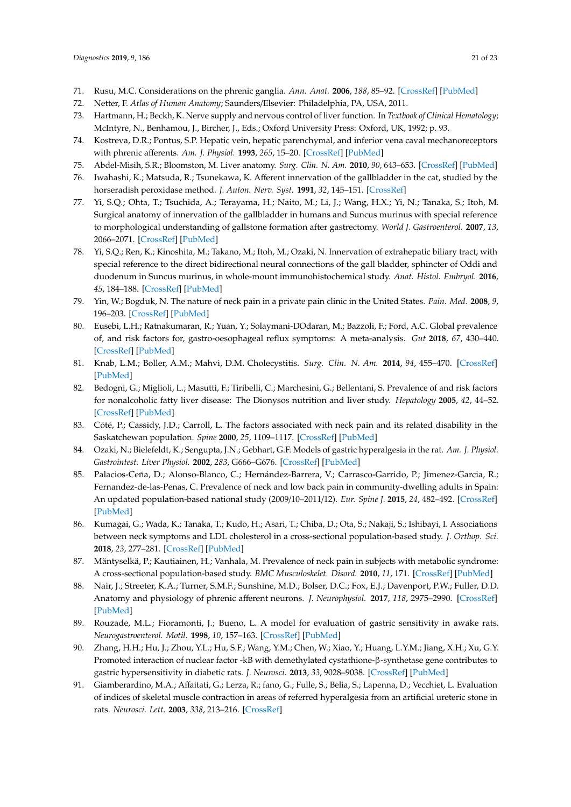- <span id="page-20-0"></span>71. Rusu, M.C. Considerations on the phrenic ganglia. *Ann. Anat.* **2006**, *188*, 85–92. [\[CrossRef\]](http://dx.doi.org/10.1016/j.aanat.2005.09.005) [\[PubMed\]](http://www.ncbi.nlm.nih.gov/pubmed/16447917)
- <span id="page-20-1"></span>72. Netter, F. *Atlas of Human Anatomy*; Saunders/Elsevier: Philadelphia, PA, USA, 2011.
- <span id="page-20-2"></span>73. Hartmann, H.; Beckh, K. Nerve supply and nervous control of liver function. In *Textbook of Clinical Hematology*; McIntyre, N., Benhamou, J., Bircher, J., Eds.; Oxford University Press: Oxford, UK, 1992; p. 93.
- <span id="page-20-3"></span>74. Kostreva, D.R.; Pontus, S.P. Hepatic vein, hepatic parenchymal, and inferior vena caval mechanoreceptors with phrenic afferents. *Am. J. Physiol.* **1993**, *265*, 15–20. [\[CrossRef\]](http://dx.doi.org/10.1152/ajpgi.1993.265.1.G15) [\[PubMed\]](http://www.ncbi.nlm.nih.gov/pubmed/8338164)
- <span id="page-20-4"></span>75. Abdel-Misih, S.R.; Bloomston, M. Liver anatomy. *Surg. Clin. N. Am.* **2010**, *90*, 643–653. [\[CrossRef\]](http://dx.doi.org/10.1016/j.suc.2010.04.017) [\[PubMed\]](http://www.ncbi.nlm.nih.gov/pubmed/20637938)
- <span id="page-20-5"></span>76. Iwahashi, K.; Matsuda, R.; Tsunekawa, K. Afferent innervation of the gallbladder in the cat, studied by the horseradish peroxidase method. *J. Auton. Nerv. Syst.* **1991**, *32*, 145–151. [\[CrossRef\]](http://dx.doi.org/10.1016/0165-1838(91)90064-A)
- <span id="page-20-6"></span>77. Yi, S.Q.; Ohta, T.; Tsuchida, A.; Terayama, H.; Naito, M.; Li, J.; Wang, H.X.; Yi, N.; Tanaka, S.; Itoh, M. Surgical anatomy of innervation of the gallbladder in humans and Suncus murinus with special reference to morphological understanding of gallstone formation after gastrectomy. *World J. Gastroenterol.* **2007**, *13*, 2066–2071. [\[CrossRef\]](http://dx.doi.org/10.3748/wjg.v13.i14.2066) [\[PubMed\]](http://www.ncbi.nlm.nih.gov/pubmed/17465449)
- <span id="page-20-7"></span>78. Yi, S.Q.; Ren, K.; Kinoshita, M.; Takano, M.; Itoh, M.; Ozaki, N. Innervation of extrahepatic biliary tract, with special reference to the direct bidirectional neural connections of the gall bladder, sphincter of Oddi and duodenum in Suncus murinus, in whole-mount immunohistochemical study. *Anat. Histol. Embryol.* **2016**, *45*, 184–188. [\[CrossRef\]](http://dx.doi.org/10.1111/ahe.12186) [\[PubMed\]](http://www.ncbi.nlm.nih.gov/pubmed/26179953)
- <span id="page-20-8"></span>79. Yin, W.; Bogduk, N. The nature of neck pain in a private pain clinic in the United States. *Pain. Med.* **2008**, *9*, 196–203. [\[CrossRef\]](http://dx.doi.org/10.1111/j.1526-4637.2007.00369.x) [\[PubMed\]](http://www.ncbi.nlm.nih.gov/pubmed/18298702)
- <span id="page-20-9"></span>80. Eusebi, L.H.; Ratnakumaran, R.; Yuan, Y.; Solaymani-DOdaran, M.; Bazzoli, F.; Ford, A.C. Global prevalence of, and risk factors for, gastro-oesophageal reflux symptoms: A meta-analysis. *Gut* **2018**, *67*, 430–440. [\[CrossRef\]](http://dx.doi.org/10.1136/gutjnl-2016-313589) [\[PubMed\]](http://www.ncbi.nlm.nih.gov/pubmed/28232473)
- <span id="page-20-10"></span>81. Knab, L.M.; Boller, A.M.; Mahvi, D.M. Cholecystitis. *Surg. Clin. N. Am.* **2014**, *94*, 455–470. [\[CrossRef\]](http://dx.doi.org/10.1016/j.suc.2014.01.005) [\[PubMed\]](http://www.ncbi.nlm.nih.gov/pubmed/24679431)
- <span id="page-20-11"></span>82. Bedogni, G.; Miglioli, L.; Masutti, F.; Tiribelli, C.; Marchesini, G.; Bellentani, S. Prevalence of and risk factors for nonalcoholic fatty liver disease: The Dionysos nutrition and liver study. *Hepatology* **2005**, *42*, 44–52. [\[CrossRef\]](http://dx.doi.org/10.1002/hep.20734) [\[PubMed\]](http://www.ncbi.nlm.nih.gov/pubmed/15895401)
- <span id="page-20-12"></span>83. Côté, P.; Cassidy, J.D.; Carroll, L. The factors associated with neck pain and its related disability in the Saskatchewan population. *Spine* **2000**, *25*, 1109–1117. [\[CrossRef\]](http://dx.doi.org/10.1097/00007632-200005010-00012) [\[PubMed\]](http://www.ncbi.nlm.nih.gov/pubmed/10788856)
- <span id="page-20-13"></span>84. Ozaki, N.; Bielefeldt, K.; Sengupta, J.N.; Gebhart, G.F. Models of gastric hyperalgesia in the rat. *Am. J. Physiol. Gastrointest. Liver Physiol.* **2002**, *283*, G666–G676. [\[CrossRef\]](http://dx.doi.org/10.1152/ajpgi.00001.2002) [\[PubMed\]](http://www.ncbi.nlm.nih.gov/pubmed/12181181)
- <span id="page-20-14"></span>85. Palacios-Ceña, D.; Alonso-Blanco, C.; Hernández-Barrera, V.; Carrasco-Garrido, P.; Jimenez-Garcia, R.; Fernandez-de-las-Penas, C. Prevalence of neck and low back pain in community-dwelling adults in Spain: An updated population-based national study (2009/10–2011/12). *Eur. Spine J.* **2015**, *24*, 482–492. [\[CrossRef\]](http://dx.doi.org/10.1007/s00586-014-3567-5) [\[PubMed\]](http://www.ncbi.nlm.nih.gov/pubmed/25208501)
- <span id="page-20-15"></span>86. Kumagai, G.; Wada, K.; Tanaka, T.; Kudo, H.; Asari, T.; Chiba, D.; Ota, S.; Nakaji, S.; Ishibayi, I. Associations between neck symptoms and LDL cholesterol in a cross-sectional population-based study. *J. Orthop. Sci.* **2018**, *23*, 277–281. [\[CrossRef\]](http://dx.doi.org/10.1016/j.jos.2017.11.002) [\[PubMed\]](http://www.ncbi.nlm.nih.gov/pubmed/29174032)
- <span id="page-20-16"></span>87. Mäntyselkä, P.; Kautiainen, H.; Vanhala, M. Prevalence of neck pain in subjects with metabolic syndrome: A cross-sectional population-based study. *BMC Musculoskelet. Disord.* **2010**, *11*, 171. [\[CrossRef\]](http://dx.doi.org/10.1186/1471-2474-11-171) [\[PubMed\]](http://www.ncbi.nlm.nih.gov/pubmed/20670458)
- <span id="page-20-17"></span>88. Nair, J.; Streeter, K.A.; Turner, S.M.F.; Sunshine, M.D.; Bolser, D.C.; Fox, E.J.; Davenport, P.W.; Fuller, D.D. Anatomy and physiology of phrenic afferent neurons. *J. Neurophysiol.* **2017**, *118*, 2975–2990. [\[CrossRef\]](http://dx.doi.org/10.1152/jn.00484.2017) [\[PubMed\]](http://www.ncbi.nlm.nih.gov/pubmed/28835527)
- <span id="page-20-18"></span>89. Rouzade, M.L.; Fioramonti, J.; Bueno, L. A model for evaluation of gastric sensitivity in awake rats. *Neurogastroenterol. Motil.* **1998**, *10*, 157–163. [\[CrossRef\]](http://dx.doi.org/10.1046/j.1365-2982.1998.00091.x) [\[PubMed\]](http://www.ncbi.nlm.nih.gov/pubmed/9614674)
- <span id="page-20-19"></span>90. Zhang, H.H.; Hu, J.; Zhou, Y.L.; Hu, S.F.; Wang, Y.M.; Chen, W.; Xiao, Y.; Huang, L.Y.M.; Jiang, X.H.; Xu, G.Y. Promoted interaction of nuclear factor -kB with demethylated cystathione-β-synthetase gene contributes to gastric hypersensitivity in diabetic rats. *J. Neurosci.* **2013**, *33*, 9028–9038. [\[CrossRef\]](http://dx.doi.org/10.1523/JNEUROSCI.1068-13.2013) [\[PubMed\]](http://www.ncbi.nlm.nih.gov/pubmed/23699514)
- <span id="page-20-20"></span>91. Giamberardino, M.A.; Affaitati, G.; Lerza, R.; fano, G.; Fulle, S.; Belia, S.; Lapenna, D.; Vecchiet, L. Evaluation of indices of skeletal muscle contraction in areas of referred hyperalgesia from an artificial ureteric stone in rats. *Neurosci. Lett.* **2003**, *338*, 213–216. [\[CrossRef\]](http://dx.doi.org/10.1016/S0304-3940(02)01409-X)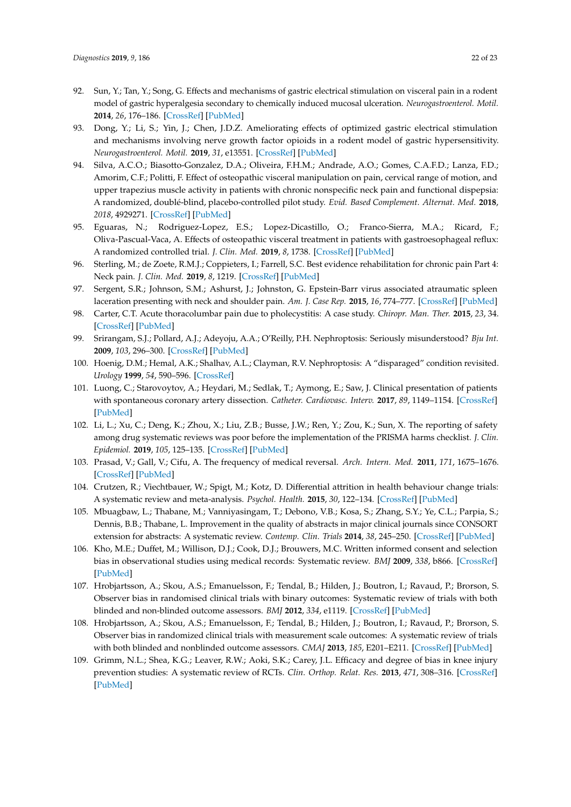- <span id="page-21-0"></span>92. Sun, Y.; Tan, Y.; Song, G. Effects and mechanisms of gastric electrical stimulation on visceral pain in a rodent model of gastric hyperalgesia secondary to chemically induced mucosal ulceration. *Neurogastroenterol. Motil.* **2014**, *26*, 176–186. [\[CrossRef\]](http://dx.doi.org/10.1111/nmo.12248) [\[PubMed\]](http://www.ncbi.nlm.nih.gov/pubmed/24165025)
- <span id="page-21-1"></span>93. Dong, Y.; Li, S.; Yin, J.; Chen, J.D.Z. Ameliorating effects of optimized gastric electrical stimulation and mechanisms involving nerve growth factor opioids in a rodent model of gastric hypersensitivity. *Neurogastroenterol. Motil.* **2019**, *31*, e13551. [\[CrossRef\]](http://dx.doi.org/10.1111/nmo.13551) [\[PubMed\]](http://www.ncbi.nlm.nih.gov/pubmed/30790401)
- <span id="page-21-2"></span>94. Silva, A.C.O.; Biasotto-Gonzalez, D.A.; Oliveira, F.H.M.; Andrade, A.O.; Gomes, C.A.F.D.; Lanza, F.D.; Amorim, C.F.; Politti, F. Effect of osteopathic visceral manipulation on pain, cervical range of motion, and upper trapezius muscle activity in patients with chronic nonspecific neck pain and functional dispepsia: A randomized, doublé-blind, placebo-controlled pilot study. *Evid. Based Complement. Alternat. Med.* **2018**, *2018*, 4929271. [\[CrossRef\]](http://dx.doi.org/10.1155/2018/4929271) [\[PubMed\]](http://www.ncbi.nlm.nih.gov/pubmed/30534176)
- <span id="page-21-3"></span>95. Eguaras, N.; Rodriguez-Lopez, E.S.; Lopez-Dicastillo, O.; Franco-Sierra, M.A.; Ricard, F.; Oliva-Pascual-Vaca, A. Effects of osteopathic visceral treatment in patients with gastroesophageal reflux: A randomized controlled trial. *J. Clin. Med.* **2019**, *8*, 1738. [\[CrossRef\]](http://dx.doi.org/10.3390/jcm8101738) [\[PubMed\]](http://www.ncbi.nlm.nih.gov/pubmed/31635110)
- <span id="page-21-4"></span>96. Sterling, M.; de Zoete, R.M.J.; Coppieters, I.; Farrell, S.C. Best evidence rehabilitation for chronic pain Part 4: Neck pain. *J. Clin. Med.* **2019**, *8*, 1219. [\[CrossRef\]](http://dx.doi.org/10.3390/jcm8081219) [\[PubMed\]](http://www.ncbi.nlm.nih.gov/pubmed/31443149)
- <span id="page-21-5"></span>97. Sergent, S.R.; Johnson, S.M.; Ashurst, J.; Johnston, G. Epstein-Barr virus associated atraumatic spleen laceration presenting with neck and shoulder pain. *Am. J. Case Rep.* **2015**, *16*, 774–777. [\[CrossRef\]](http://dx.doi.org/10.12659/AJCR.893919) [\[PubMed\]](http://www.ncbi.nlm.nih.gov/pubmed/26516137)
- <span id="page-21-6"></span>98. Carter, C.T. Acute thoracolumbar pain due to pholecystitis: A case study. *Chiropr. Man. Ther.* **2015**, *23*, 34. [\[CrossRef\]](http://dx.doi.org/10.1186/s12998-015-0079-2) [\[PubMed\]](http://www.ncbi.nlm.nih.gov/pubmed/26689256)
- <span id="page-21-7"></span>99. Srirangam, S.J.; Pollard, A.J.; Adeyoju, A.A.; O'Reilly, P.H. Nephroptosis: Seriously misunderstood? *Bju Int.* **2009**, *103*, 296–300. [\[CrossRef\]](http://dx.doi.org/10.1111/j.1464-410X.2008.08082.x) [\[PubMed\]](http://www.ncbi.nlm.nih.gov/pubmed/18990154)
- <span id="page-21-8"></span>100. Hoenig, D.M.; Hemal, A.K.; Shalhav, A.L.; Clayman, R.V. Nephroptosis: A "disparaged" condition revisited. *Urology* **1999**, *54*, 590–596. [\[CrossRef\]](http://dx.doi.org/10.1016/S0090-4295(99)00279-4)
- <span id="page-21-9"></span>101. Luong, C.; Starovoytov, A.; Heydari, M.; Sedlak, T.; Aymong, E.; Saw, J. Clinical presentation of patients with spontaneous coronary artery dissection. *Catheter. Cardiovasc. Interv.* **2017**, *89*, 1149–1154. [\[CrossRef\]](http://dx.doi.org/10.1002/ccd.26977) [\[PubMed\]](http://www.ncbi.nlm.nih.gov/pubmed/28244197)
- <span id="page-21-10"></span>102. Li, L.; Xu, C.; Deng, K.; Zhou, X.; Liu, Z.B.; Busse, J.W.; Ren, Y.; Zou, K.; Sun, X. The reporting of safety among drug systematic reviews was poor before the implementation of the PRISMA harms checklist. *J. Clin. Epidemiol.* **2019**, *105*, 125–135. [\[CrossRef\]](http://dx.doi.org/10.1016/j.jclinepi.2018.09.014) [\[PubMed\]](http://www.ncbi.nlm.nih.gov/pubmed/30278212)
- 103. Prasad, V.; Gall, V.; Cifu, A. The frequency of medical reversal. *Arch. Intern. Med.* **2011**, *171*, 1675–1676. [\[CrossRef\]](http://dx.doi.org/10.1001/archinternmed.2011.295) [\[PubMed\]](http://www.ncbi.nlm.nih.gov/pubmed/21747003)
- 104. Crutzen, R.; Viechtbauer, W.; Spigt, M.; Kotz, D. Differential attrition in health behaviour change trials: A systematic review and meta-analysis. *Psychol. Health.* **2015**, *30*, 122–134. [\[CrossRef\]](http://dx.doi.org/10.1080/08870446.2014.953526) [\[PubMed\]](http://www.ncbi.nlm.nih.gov/pubmed/25109224)
- <span id="page-21-11"></span>105. Mbuagbaw, L.; Thabane, M.; Vanniyasingam, T.; Debono, V.B.; Kosa, S.; Zhang, S.Y.; Ye, C.L.; Parpia, S.; Dennis, B.B.; Thabane, L. Improvement in the quality of abstracts in major clinical journals since CONSORT extension for abstracts: A systematic review. *Contemp. Clin. Trials* **2014**, *38*, 245–250. [\[CrossRef\]](http://dx.doi.org/10.1016/j.cct.2014.05.012) [\[PubMed\]](http://www.ncbi.nlm.nih.gov/pubmed/24861557)
- <span id="page-21-12"></span>106. Kho, M.E.; Duffet, M.; Willison, D.J.; Cook, D.J.; Brouwers, M.C. Written informed consent and selection bias in observational studies using medical records: Systematic review. *BMJ* **2009**, *338*, b866. [\[CrossRef\]](http://dx.doi.org/10.1136/bmj.b866) [\[PubMed\]](http://www.ncbi.nlm.nih.gov/pubmed/19282440)
- 107. Hrobjartsson, A.; Skou, A.S.; Emanuelsson, F.; Tendal, B.; Hilden, J.; Boutron, I.; Ravaud, P.; Brorson, S. Observer bias in randomised clinical trials with binary outcomes: Systematic review of trials with both blinded and non-blinded outcome assessors. *BMJ* **2012**, *334*, e1119. [\[CrossRef\]](http://dx.doi.org/10.1136/bmj.e1119) [\[PubMed\]](http://www.ncbi.nlm.nih.gov/pubmed/22371859)
- 108. Hrobjartsson, A.; Skou, A.S.; Emanuelsson, F.; Tendal, B.; Hilden, J.; Boutron, I.; Ravaud, P.; Brorson, S. Observer bias in randomized clinical trials with measurement scale outcomes: A systematic review of trials with both blinded and nonblinded outcome assessors. *CMAJ* **2013**, *185*, E201–E211. [\[CrossRef\]](http://dx.doi.org/10.1503/cmaj.120744) [\[PubMed\]](http://www.ncbi.nlm.nih.gov/pubmed/23359047)
- 109. Grimm, N.L.; Shea, K.G.; Leaver, R.W.; Aoki, S.K.; Carey, J.L. Efficacy and degree of bias in knee injury prevention studies: A systematic review of RCTs. *Clin. Orthop. Relat. Res.* **2013**, *471*, 308–316. [\[CrossRef\]](http://dx.doi.org/10.1007/s11999-012-2565-3) [\[PubMed\]](http://www.ncbi.nlm.nih.gov/pubmed/22961316)